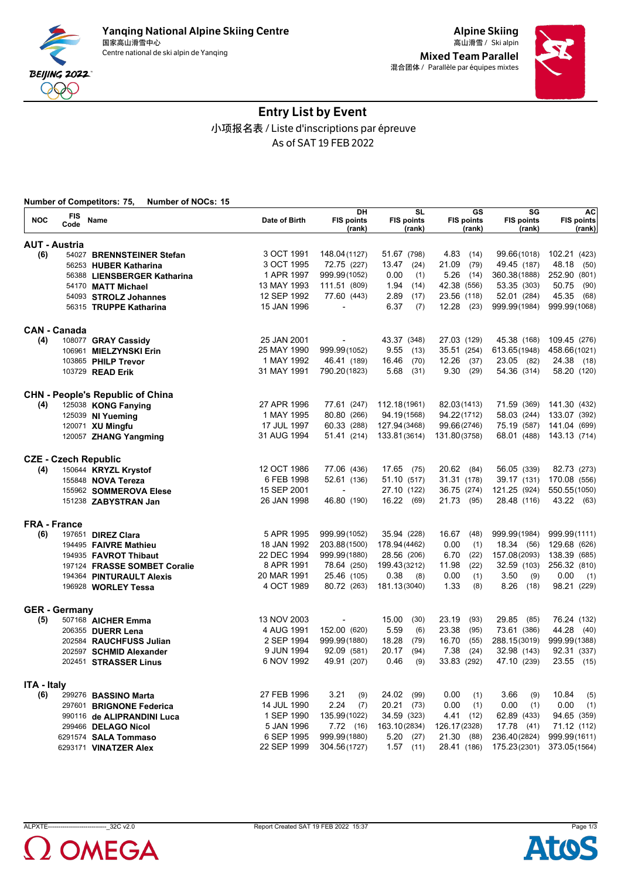



# Entry List by Event 小项报名表 / Liste d'inscriptions par épreuve As of SAT 19 FEB 2022

| FIS<br><b>NOC</b><br>Date of Birth<br><b>FIS points</b><br><b>FIS points</b><br><b>FIS points</b><br><b>FIS points</b><br><b>FIS points</b><br>Name<br>Code<br>(rank)<br>(rank)<br>(rank)<br>(rank)<br>(rank)<br><b>AUT - Austria</b><br>3 OCT 1991<br>148.04 (1127)<br>4.83<br>99.66(1018)<br>102.21 (423)<br>(6)<br>51.67 (798)<br>(14)<br>54027 BRENNSTEINER Stefan<br>3 OCT 1995<br>21.09<br>72.75 (227)<br>13.47<br>(24)<br>(79)<br>49.45 (187)<br>48.18<br>(50)<br>56253 HUBER Katharina<br>1 APR 1997<br>999.99(1052)<br>0.00<br>5.26<br>252.90 (801)<br>(1)<br>(14)<br>360.38(1888)<br>56388 LIENSBERGER Katharina<br>13 MAY 1993<br>111.51 (809)<br>1.94<br>(14)<br>42.38 (556)<br>53.35 (303)<br>50.75<br>(90)<br>54170 MATT Michael<br>12 SEP 1992<br>2.89<br>23.56 (118)<br>45.35<br>77.60 (443)<br>(17)<br>52.01 (284)<br>(68)<br>54093 STROLZ Johannes<br>15 JAN 1996<br>6.37<br>(7)<br>$12.28$ (23)<br>999.99(1984)<br>999.99(1068)<br>56315 TRUPPE Katharina<br><b>CAN - Canada</b><br>25 JAN 2001<br>(4)<br>43.37 (348)<br>27.03 (129)<br>45.38 (168)<br>109.45 (276)<br>108077 GRAY Cassidy<br>999.99(1052)<br>9.55<br>35.51 (254)<br>25 MAY 1990<br>(13)<br>613.65(1948)<br>458.66(1021)<br>106961 MIELZYNSKI Erin<br>1 MAY 1992<br>12.26<br>46.41 (189)<br>16.46<br>(70)<br>(37)<br>23.05 (82)<br>24.38 (18)<br>103865 PHILP Trevor<br>31 MAY 1991<br>5.68<br>9.30<br>54.36 (314)<br>58.20 (120)<br>790.20(1823)<br>(31)<br>(29)<br>103729 READ Erik<br><b>CHN - People's Republic of China</b><br>27 APR 1996<br>77.61 (247)<br>112.18(1961)<br>82.03(1413)<br>71.59 (369)<br>141.30 (432)<br>(4)<br>125038 KONG Fanying<br>1 MAY 1995<br>80.80 (266)<br>94.22(1712)<br>58.03 (244)<br>94.19(1568)<br>133.07 (392)<br>125039 NI Yueming<br>17 JUL 1997<br>60.33 (288)<br>127.94(3468)<br>99.66(2746)<br>75.19 (587)<br>141.04 (699)<br>120071 XU Mingfu<br>31 AUG 1994<br>51.41 (214)<br>133.81(3614)<br>131.80(3758)<br>68.01 (488)<br>143.13 (714)<br>120057 ZHANG Yangming<br><b>CZE - Czech Republic</b><br>12 OCT 1986<br>77.06 (436)<br>17.65<br>20.62<br>56.05 (339)<br>82.73 (273)<br>150644 KRYZL Krystof<br>(75)<br>(84)<br>(4)<br>6 FEB 1998<br>52.61 (136)<br>31.31 (178)<br>39.17 (131)<br>170.08 (556)<br>51.10 (517)<br>155848 NOVA Tereza<br>15 SEP 2001<br>36.75 (274)<br>121.25 (924)<br>27.10 (122)<br>550.55(1050)<br>155962 SOMMEROVA Elese<br>$\overline{a}$<br>26 JAN 1998<br>46.80 (190)<br>16.22<br>21.73 (95)<br>28.48 (116)<br>43.22 (63)<br>(69)<br>151238 ZABYSTRAN Jan<br><b>FRA - France</b><br>5 APR 1995<br>(6)<br>999.99 (1052)<br>35.94 (228)<br>16.67<br>(48)<br>999.99(1984)<br>999.99(1111)<br>197651 DIREZ Clara<br>18 JAN 1992<br>178.94 (4462)<br>0.00<br>129.68 (626)<br>203.88 (1500)<br>(1)<br>18.34 (56)<br>194495 FAIVRE Mathieu<br>22 DEC 1994<br>999.99 (1880)<br>28.56 (206)<br>6.70<br>(22)<br>157.08(2093)<br>138.39 (685)<br>194935 FAVROT Thibaut<br>8 APR 1991<br>78.64 (250)<br>199.43(3212)<br>11.98<br>(22)<br>32.59 (103)<br>256.32 (810)<br>197124 FRASSE SOMBET Coralie<br>20 MAR 1991<br>0.38<br>3.50<br>25.46 (105)<br>0.00<br>(1)<br>(9)<br>0.00<br>194364 PINTURAULT Alexis<br>(8)<br>(1)<br>1.33<br>8.26<br>4 OCT 1989<br>80.72 (263)<br>181.13(3040)<br>(18)<br>98.21 (229)<br>(8)<br>196928 WORLEY Tessa<br><b>GER</b> - Germany<br>13 NOV 2003<br>15.00<br>23.19<br>29.85<br>76.24 (132)<br>(30)<br>(93)<br>(85)<br>(5)<br>507168 AICHER Emma<br>152.00 (620)<br>5.59<br>44.28<br>4 AUG 1991<br>(6)<br>23.38<br>(95)<br>73.61 (386)<br>(40)<br>206355 DUERR Lena<br>2 SEP 1994<br>18.28<br>16.70<br>999.99 (1880)<br>(79)<br>(55)<br>288.15(3019)<br>999.99(1388)<br>202584 RAUCHFUSS Julian<br>7.38<br>9 JUN 1994<br>92.09 (581)<br>20.17<br>(94)<br>(24)<br>32.98 (143)<br>92.31 (337)<br>202597 SCHMID Alexander<br>6 NOV 1992<br>49.91 (207)<br>0.46<br>(9)<br>33.83 (292)<br>47.10 (239)<br>23.55 (15)<br>202451 STRASSER Linus<br><b>ITA - Italy</b><br>27 FEB 1996<br>3.21<br>24.02<br>(99)<br>0.00<br>3.66<br>10.84<br>(6)<br>299276 BASSINO Marta<br>(9)<br>(1)<br>(9)<br>(5)<br>2.24<br>14 JUL 1990<br>(7)<br>$20.21$ (73)<br>0.00<br>0.00<br>(1)<br>0.00<br>(1)<br>(1)<br>297601 BRIGNONE Federica<br>62.89 (433)<br>1 SEP 1990<br>135.99(1022)<br>34.59 (323)<br>4.41<br>94.65 (359)<br>(12)<br>990116 de ALIPRANDINI Luca<br>5 JAN 1996<br>7.72(16)<br>163.10(2834)<br>126.17(2328)<br>17.78 (41)<br>71.12 (112)<br>299466 DELAGO Nicol<br>21.30 (88)<br>6 SEP 1995<br>999.99 (1880)<br>5.20(27)<br>236.40(2824)<br>999.99(1611)<br>6291574 SALA Tommaso<br>22 SEP 1999<br>304.56(1727)<br>1.57<br>28.41 (186)<br>175.23(2301)<br>(11)<br>373.05(1564)<br>6293171 VINATZER Alex |  | <b>Number of Competitors: 75,</b><br><b>Number of NOCs: 15</b> |    |           |    |    |           |
|---------------------------------------------------------------------------------------------------------------------------------------------------------------------------------------------------------------------------------------------------------------------------------------------------------------------------------------------------------------------------------------------------------------------------------------------------------------------------------------------------------------------------------------------------------------------------------------------------------------------------------------------------------------------------------------------------------------------------------------------------------------------------------------------------------------------------------------------------------------------------------------------------------------------------------------------------------------------------------------------------------------------------------------------------------------------------------------------------------------------------------------------------------------------------------------------------------------------------------------------------------------------------------------------------------------------------------------------------------------------------------------------------------------------------------------------------------------------------------------------------------------------------------------------------------------------------------------------------------------------------------------------------------------------------------------------------------------------------------------------------------------------------------------------------------------------------------------------------------------------------------------------------------------------------------------------------------------------------------------------------------------------------------------------------------------------------------------------------------------------------------------------------------------------------------------------------------------------------------------------------------------------------------------------------------------------------------------------------------------------------------------------------------------------------------------------------------------------------------------------------------------------------------------------------------------------------------------------------------------------------------------------------------------------------------------------------------------------------------------------------------------------------------------------------------------------------------------------------------------------------------------------------------------------------------------------------------------------------------------------------------------------------------------------------------------------------------------------------------------------------------------------------------------------------------------------------------------------------------------------------------------------------------------------------------------------------------------------------------------------------------------------------------------------------------------------------------------------------------------------------------------------------------------------------------------------------------------------------------------------------------------------------------------------------------------------------------------------------------------------------------------------------------------------------------------------------------------------------------------------------------------------------------------------------------------------------------------------------------------------------------------------------------------------------------------------------------------------------------------------------------------------------------------------------------------------------------------------------------------------------------------------------------------------------------------------------------------------------------------------------------------------------------------------------------------------------------------------------------------------------------------------------------------------------------------------------------------------------------------------------------------------------------------------------------------|--|----------------------------------------------------------------|----|-----------|----|----|-----------|
|                                                                                                                                                                                                                                                                                                                                                                                                                                                                                                                                                                                                                                                                                                                                                                                                                                                                                                                                                                                                                                                                                                                                                                                                                                                                                                                                                                                                                                                                                                                                                                                                                                                                                                                                                                                                                                                                                                                                                                                                                                                                                                                                                                                                                                                                                                                                                                                                                                                                                                                                                                                                                                                                                                                                                                                                                                                                                                                                                                                                                                                                                                                                                                                                                                                                                                                                                                                                                                                                                                                                                                                                                                                                                                                                                                                                                                                                                                                                                                                                                                                                                                                                                                                                                                                                                                                                                                                                                                                                                                                                                                                                                                                                                       |  |                                                                | DH | <b>SL</b> | GS | SG | <b>AC</b> |
|                                                                                                                                                                                                                                                                                                                                                                                                                                                                                                                                                                                                                                                                                                                                                                                                                                                                                                                                                                                                                                                                                                                                                                                                                                                                                                                                                                                                                                                                                                                                                                                                                                                                                                                                                                                                                                                                                                                                                                                                                                                                                                                                                                                                                                                                                                                                                                                                                                                                                                                                                                                                                                                                                                                                                                                                                                                                                                                                                                                                                                                                                                                                                                                                                                                                                                                                                                                                                                                                                                                                                                                                                                                                                                                                                                                                                                                                                                                                                                                                                                                                                                                                                                                                                                                                                                                                                                                                                                                                                                                                                                                                                                                                                       |  |                                                                |    |           |    |    |           |
|                                                                                                                                                                                                                                                                                                                                                                                                                                                                                                                                                                                                                                                                                                                                                                                                                                                                                                                                                                                                                                                                                                                                                                                                                                                                                                                                                                                                                                                                                                                                                                                                                                                                                                                                                                                                                                                                                                                                                                                                                                                                                                                                                                                                                                                                                                                                                                                                                                                                                                                                                                                                                                                                                                                                                                                                                                                                                                                                                                                                                                                                                                                                                                                                                                                                                                                                                                                                                                                                                                                                                                                                                                                                                                                                                                                                                                                                                                                                                                                                                                                                                                                                                                                                                                                                                                                                                                                                                                                                                                                                                                                                                                                                                       |  |                                                                |    |           |    |    |           |
|                                                                                                                                                                                                                                                                                                                                                                                                                                                                                                                                                                                                                                                                                                                                                                                                                                                                                                                                                                                                                                                                                                                                                                                                                                                                                                                                                                                                                                                                                                                                                                                                                                                                                                                                                                                                                                                                                                                                                                                                                                                                                                                                                                                                                                                                                                                                                                                                                                                                                                                                                                                                                                                                                                                                                                                                                                                                                                                                                                                                                                                                                                                                                                                                                                                                                                                                                                                                                                                                                                                                                                                                                                                                                                                                                                                                                                                                                                                                                                                                                                                                                                                                                                                                                                                                                                                                                                                                                                                                                                                                                                                                                                                                                       |  |                                                                |    |           |    |    |           |
|                                                                                                                                                                                                                                                                                                                                                                                                                                                                                                                                                                                                                                                                                                                                                                                                                                                                                                                                                                                                                                                                                                                                                                                                                                                                                                                                                                                                                                                                                                                                                                                                                                                                                                                                                                                                                                                                                                                                                                                                                                                                                                                                                                                                                                                                                                                                                                                                                                                                                                                                                                                                                                                                                                                                                                                                                                                                                                                                                                                                                                                                                                                                                                                                                                                                                                                                                                                                                                                                                                                                                                                                                                                                                                                                                                                                                                                                                                                                                                                                                                                                                                                                                                                                                                                                                                                                                                                                                                                                                                                                                                                                                                                                                       |  |                                                                |    |           |    |    |           |
|                                                                                                                                                                                                                                                                                                                                                                                                                                                                                                                                                                                                                                                                                                                                                                                                                                                                                                                                                                                                                                                                                                                                                                                                                                                                                                                                                                                                                                                                                                                                                                                                                                                                                                                                                                                                                                                                                                                                                                                                                                                                                                                                                                                                                                                                                                                                                                                                                                                                                                                                                                                                                                                                                                                                                                                                                                                                                                                                                                                                                                                                                                                                                                                                                                                                                                                                                                                                                                                                                                                                                                                                                                                                                                                                                                                                                                                                                                                                                                                                                                                                                                                                                                                                                                                                                                                                                                                                                                                                                                                                                                                                                                                                                       |  |                                                                |    |           |    |    |           |
|                                                                                                                                                                                                                                                                                                                                                                                                                                                                                                                                                                                                                                                                                                                                                                                                                                                                                                                                                                                                                                                                                                                                                                                                                                                                                                                                                                                                                                                                                                                                                                                                                                                                                                                                                                                                                                                                                                                                                                                                                                                                                                                                                                                                                                                                                                                                                                                                                                                                                                                                                                                                                                                                                                                                                                                                                                                                                                                                                                                                                                                                                                                                                                                                                                                                                                                                                                                                                                                                                                                                                                                                                                                                                                                                                                                                                                                                                                                                                                                                                                                                                                                                                                                                                                                                                                                                                                                                                                                                                                                                                                                                                                                                                       |  |                                                                |    |           |    |    |           |
|                                                                                                                                                                                                                                                                                                                                                                                                                                                                                                                                                                                                                                                                                                                                                                                                                                                                                                                                                                                                                                                                                                                                                                                                                                                                                                                                                                                                                                                                                                                                                                                                                                                                                                                                                                                                                                                                                                                                                                                                                                                                                                                                                                                                                                                                                                                                                                                                                                                                                                                                                                                                                                                                                                                                                                                                                                                                                                                                                                                                                                                                                                                                                                                                                                                                                                                                                                                                                                                                                                                                                                                                                                                                                                                                                                                                                                                                                                                                                                                                                                                                                                                                                                                                                                                                                                                                                                                                                                                                                                                                                                                                                                                                                       |  |                                                                |    |           |    |    |           |
|                                                                                                                                                                                                                                                                                                                                                                                                                                                                                                                                                                                                                                                                                                                                                                                                                                                                                                                                                                                                                                                                                                                                                                                                                                                                                                                                                                                                                                                                                                                                                                                                                                                                                                                                                                                                                                                                                                                                                                                                                                                                                                                                                                                                                                                                                                                                                                                                                                                                                                                                                                                                                                                                                                                                                                                                                                                                                                                                                                                                                                                                                                                                                                                                                                                                                                                                                                                                                                                                                                                                                                                                                                                                                                                                                                                                                                                                                                                                                                                                                                                                                                                                                                                                                                                                                                                                                                                                                                                                                                                                                                                                                                                                                       |  |                                                                |    |           |    |    |           |
|                                                                                                                                                                                                                                                                                                                                                                                                                                                                                                                                                                                                                                                                                                                                                                                                                                                                                                                                                                                                                                                                                                                                                                                                                                                                                                                                                                                                                                                                                                                                                                                                                                                                                                                                                                                                                                                                                                                                                                                                                                                                                                                                                                                                                                                                                                                                                                                                                                                                                                                                                                                                                                                                                                                                                                                                                                                                                                                                                                                                                                                                                                                                                                                                                                                                                                                                                                                                                                                                                                                                                                                                                                                                                                                                                                                                                                                                                                                                                                                                                                                                                                                                                                                                                                                                                                                                                                                                                                                                                                                                                                                                                                                                                       |  |                                                                |    |           |    |    |           |
|                                                                                                                                                                                                                                                                                                                                                                                                                                                                                                                                                                                                                                                                                                                                                                                                                                                                                                                                                                                                                                                                                                                                                                                                                                                                                                                                                                                                                                                                                                                                                                                                                                                                                                                                                                                                                                                                                                                                                                                                                                                                                                                                                                                                                                                                                                                                                                                                                                                                                                                                                                                                                                                                                                                                                                                                                                                                                                                                                                                                                                                                                                                                                                                                                                                                                                                                                                                                                                                                                                                                                                                                                                                                                                                                                                                                                                                                                                                                                                                                                                                                                                                                                                                                                                                                                                                                                                                                                                                                                                                                                                                                                                                                                       |  |                                                                |    |           |    |    |           |
|                                                                                                                                                                                                                                                                                                                                                                                                                                                                                                                                                                                                                                                                                                                                                                                                                                                                                                                                                                                                                                                                                                                                                                                                                                                                                                                                                                                                                                                                                                                                                                                                                                                                                                                                                                                                                                                                                                                                                                                                                                                                                                                                                                                                                                                                                                                                                                                                                                                                                                                                                                                                                                                                                                                                                                                                                                                                                                                                                                                                                                                                                                                                                                                                                                                                                                                                                                                                                                                                                                                                                                                                                                                                                                                                                                                                                                                                                                                                                                                                                                                                                                                                                                                                                                                                                                                                                                                                                                                                                                                                                                                                                                                                                       |  |                                                                |    |           |    |    |           |
|                                                                                                                                                                                                                                                                                                                                                                                                                                                                                                                                                                                                                                                                                                                                                                                                                                                                                                                                                                                                                                                                                                                                                                                                                                                                                                                                                                                                                                                                                                                                                                                                                                                                                                                                                                                                                                                                                                                                                                                                                                                                                                                                                                                                                                                                                                                                                                                                                                                                                                                                                                                                                                                                                                                                                                                                                                                                                                                                                                                                                                                                                                                                                                                                                                                                                                                                                                                                                                                                                                                                                                                                                                                                                                                                                                                                                                                                                                                                                                                                                                                                                                                                                                                                                                                                                                                                                                                                                                                                                                                                                                                                                                                                                       |  |                                                                |    |           |    |    |           |
|                                                                                                                                                                                                                                                                                                                                                                                                                                                                                                                                                                                                                                                                                                                                                                                                                                                                                                                                                                                                                                                                                                                                                                                                                                                                                                                                                                                                                                                                                                                                                                                                                                                                                                                                                                                                                                                                                                                                                                                                                                                                                                                                                                                                                                                                                                                                                                                                                                                                                                                                                                                                                                                                                                                                                                                                                                                                                                                                                                                                                                                                                                                                                                                                                                                                                                                                                                                                                                                                                                                                                                                                                                                                                                                                                                                                                                                                                                                                                                                                                                                                                                                                                                                                                                                                                                                                                                                                                                                                                                                                                                                                                                                                                       |  |                                                                |    |           |    |    |           |
|                                                                                                                                                                                                                                                                                                                                                                                                                                                                                                                                                                                                                                                                                                                                                                                                                                                                                                                                                                                                                                                                                                                                                                                                                                                                                                                                                                                                                                                                                                                                                                                                                                                                                                                                                                                                                                                                                                                                                                                                                                                                                                                                                                                                                                                                                                                                                                                                                                                                                                                                                                                                                                                                                                                                                                                                                                                                                                                                                                                                                                                                                                                                                                                                                                                                                                                                                                                                                                                                                                                                                                                                                                                                                                                                                                                                                                                                                                                                                                                                                                                                                                                                                                                                                                                                                                                                                                                                                                                                                                                                                                                                                                                                                       |  |                                                                |    |           |    |    |           |
|                                                                                                                                                                                                                                                                                                                                                                                                                                                                                                                                                                                                                                                                                                                                                                                                                                                                                                                                                                                                                                                                                                                                                                                                                                                                                                                                                                                                                                                                                                                                                                                                                                                                                                                                                                                                                                                                                                                                                                                                                                                                                                                                                                                                                                                                                                                                                                                                                                                                                                                                                                                                                                                                                                                                                                                                                                                                                                                                                                                                                                                                                                                                                                                                                                                                                                                                                                                                                                                                                                                                                                                                                                                                                                                                                                                                                                                                                                                                                                                                                                                                                                                                                                                                                                                                                                                                                                                                                                                                                                                                                                                                                                                                                       |  |                                                                |    |           |    |    |           |
|                                                                                                                                                                                                                                                                                                                                                                                                                                                                                                                                                                                                                                                                                                                                                                                                                                                                                                                                                                                                                                                                                                                                                                                                                                                                                                                                                                                                                                                                                                                                                                                                                                                                                                                                                                                                                                                                                                                                                                                                                                                                                                                                                                                                                                                                                                                                                                                                                                                                                                                                                                                                                                                                                                                                                                                                                                                                                                                                                                                                                                                                                                                                                                                                                                                                                                                                                                                                                                                                                                                                                                                                                                                                                                                                                                                                                                                                                                                                                                                                                                                                                                                                                                                                                                                                                                                                                                                                                                                                                                                                                                                                                                                                                       |  |                                                                |    |           |    |    |           |
|                                                                                                                                                                                                                                                                                                                                                                                                                                                                                                                                                                                                                                                                                                                                                                                                                                                                                                                                                                                                                                                                                                                                                                                                                                                                                                                                                                                                                                                                                                                                                                                                                                                                                                                                                                                                                                                                                                                                                                                                                                                                                                                                                                                                                                                                                                                                                                                                                                                                                                                                                                                                                                                                                                                                                                                                                                                                                                                                                                                                                                                                                                                                                                                                                                                                                                                                                                                                                                                                                                                                                                                                                                                                                                                                                                                                                                                                                                                                                                                                                                                                                                                                                                                                                                                                                                                                                                                                                                                                                                                                                                                                                                                                                       |  |                                                                |    |           |    |    |           |
|                                                                                                                                                                                                                                                                                                                                                                                                                                                                                                                                                                                                                                                                                                                                                                                                                                                                                                                                                                                                                                                                                                                                                                                                                                                                                                                                                                                                                                                                                                                                                                                                                                                                                                                                                                                                                                                                                                                                                                                                                                                                                                                                                                                                                                                                                                                                                                                                                                                                                                                                                                                                                                                                                                                                                                                                                                                                                                                                                                                                                                                                                                                                                                                                                                                                                                                                                                                                                                                                                                                                                                                                                                                                                                                                                                                                                                                                                                                                                                                                                                                                                                                                                                                                                                                                                                                                                                                                                                                                                                                                                                                                                                                                                       |  |                                                                |    |           |    |    |           |
|                                                                                                                                                                                                                                                                                                                                                                                                                                                                                                                                                                                                                                                                                                                                                                                                                                                                                                                                                                                                                                                                                                                                                                                                                                                                                                                                                                                                                                                                                                                                                                                                                                                                                                                                                                                                                                                                                                                                                                                                                                                                                                                                                                                                                                                                                                                                                                                                                                                                                                                                                                                                                                                                                                                                                                                                                                                                                                                                                                                                                                                                                                                                                                                                                                                                                                                                                                                                                                                                                                                                                                                                                                                                                                                                                                                                                                                                                                                                                                                                                                                                                                                                                                                                                                                                                                                                                                                                                                                                                                                                                                                                                                                                                       |  |                                                                |    |           |    |    |           |
|                                                                                                                                                                                                                                                                                                                                                                                                                                                                                                                                                                                                                                                                                                                                                                                                                                                                                                                                                                                                                                                                                                                                                                                                                                                                                                                                                                                                                                                                                                                                                                                                                                                                                                                                                                                                                                                                                                                                                                                                                                                                                                                                                                                                                                                                                                                                                                                                                                                                                                                                                                                                                                                                                                                                                                                                                                                                                                                                                                                                                                                                                                                                                                                                                                                                                                                                                                                                                                                                                                                                                                                                                                                                                                                                                                                                                                                                                                                                                                                                                                                                                                                                                                                                                                                                                                                                                                                                                                                                                                                                                                                                                                                                                       |  |                                                                |    |           |    |    |           |
|                                                                                                                                                                                                                                                                                                                                                                                                                                                                                                                                                                                                                                                                                                                                                                                                                                                                                                                                                                                                                                                                                                                                                                                                                                                                                                                                                                                                                                                                                                                                                                                                                                                                                                                                                                                                                                                                                                                                                                                                                                                                                                                                                                                                                                                                                                                                                                                                                                                                                                                                                                                                                                                                                                                                                                                                                                                                                                                                                                                                                                                                                                                                                                                                                                                                                                                                                                                                                                                                                                                                                                                                                                                                                                                                                                                                                                                                                                                                                                                                                                                                                                                                                                                                                                                                                                                                                                                                                                                                                                                                                                                                                                                                                       |  |                                                                |    |           |    |    |           |
|                                                                                                                                                                                                                                                                                                                                                                                                                                                                                                                                                                                                                                                                                                                                                                                                                                                                                                                                                                                                                                                                                                                                                                                                                                                                                                                                                                                                                                                                                                                                                                                                                                                                                                                                                                                                                                                                                                                                                                                                                                                                                                                                                                                                                                                                                                                                                                                                                                                                                                                                                                                                                                                                                                                                                                                                                                                                                                                                                                                                                                                                                                                                                                                                                                                                                                                                                                                                                                                                                                                                                                                                                                                                                                                                                                                                                                                                                                                                                                                                                                                                                                                                                                                                                                                                                                                                                                                                                                                                                                                                                                                                                                                                                       |  |                                                                |    |           |    |    |           |
|                                                                                                                                                                                                                                                                                                                                                                                                                                                                                                                                                                                                                                                                                                                                                                                                                                                                                                                                                                                                                                                                                                                                                                                                                                                                                                                                                                                                                                                                                                                                                                                                                                                                                                                                                                                                                                                                                                                                                                                                                                                                                                                                                                                                                                                                                                                                                                                                                                                                                                                                                                                                                                                                                                                                                                                                                                                                                                                                                                                                                                                                                                                                                                                                                                                                                                                                                                                                                                                                                                                                                                                                                                                                                                                                                                                                                                                                                                                                                                                                                                                                                                                                                                                                                                                                                                                                                                                                                                                                                                                                                                                                                                                                                       |  |                                                                |    |           |    |    |           |
|                                                                                                                                                                                                                                                                                                                                                                                                                                                                                                                                                                                                                                                                                                                                                                                                                                                                                                                                                                                                                                                                                                                                                                                                                                                                                                                                                                                                                                                                                                                                                                                                                                                                                                                                                                                                                                                                                                                                                                                                                                                                                                                                                                                                                                                                                                                                                                                                                                                                                                                                                                                                                                                                                                                                                                                                                                                                                                                                                                                                                                                                                                                                                                                                                                                                                                                                                                                                                                                                                                                                                                                                                                                                                                                                                                                                                                                                                                                                                                                                                                                                                                                                                                                                                                                                                                                                                                                                                                                                                                                                                                                                                                                                                       |  |                                                                |    |           |    |    |           |
|                                                                                                                                                                                                                                                                                                                                                                                                                                                                                                                                                                                                                                                                                                                                                                                                                                                                                                                                                                                                                                                                                                                                                                                                                                                                                                                                                                                                                                                                                                                                                                                                                                                                                                                                                                                                                                                                                                                                                                                                                                                                                                                                                                                                                                                                                                                                                                                                                                                                                                                                                                                                                                                                                                                                                                                                                                                                                                                                                                                                                                                                                                                                                                                                                                                                                                                                                                                                                                                                                                                                                                                                                                                                                                                                                                                                                                                                                                                                                                                                                                                                                                                                                                                                                                                                                                                                                                                                                                                                                                                                                                                                                                                                                       |  |                                                                |    |           |    |    |           |
|                                                                                                                                                                                                                                                                                                                                                                                                                                                                                                                                                                                                                                                                                                                                                                                                                                                                                                                                                                                                                                                                                                                                                                                                                                                                                                                                                                                                                                                                                                                                                                                                                                                                                                                                                                                                                                                                                                                                                                                                                                                                                                                                                                                                                                                                                                                                                                                                                                                                                                                                                                                                                                                                                                                                                                                                                                                                                                                                                                                                                                                                                                                                                                                                                                                                                                                                                                                                                                                                                                                                                                                                                                                                                                                                                                                                                                                                                                                                                                                                                                                                                                                                                                                                                                                                                                                                                                                                                                                                                                                                                                                                                                                                                       |  |                                                                |    |           |    |    |           |
|                                                                                                                                                                                                                                                                                                                                                                                                                                                                                                                                                                                                                                                                                                                                                                                                                                                                                                                                                                                                                                                                                                                                                                                                                                                                                                                                                                                                                                                                                                                                                                                                                                                                                                                                                                                                                                                                                                                                                                                                                                                                                                                                                                                                                                                                                                                                                                                                                                                                                                                                                                                                                                                                                                                                                                                                                                                                                                                                                                                                                                                                                                                                                                                                                                                                                                                                                                                                                                                                                                                                                                                                                                                                                                                                                                                                                                                                                                                                                                                                                                                                                                                                                                                                                                                                                                                                                                                                                                                                                                                                                                                                                                                                                       |  |                                                                |    |           |    |    |           |
|                                                                                                                                                                                                                                                                                                                                                                                                                                                                                                                                                                                                                                                                                                                                                                                                                                                                                                                                                                                                                                                                                                                                                                                                                                                                                                                                                                                                                                                                                                                                                                                                                                                                                                                                                                                                                                                                                                                                                                                                                                                                                                                                                                                                                                                                                                                                                                                                                                                                                                                                                                                                                                                                                                                                                                                                                                                                                                                                                                                                                                                                                                                                                                                                                                                                                                                                                                                                                                                                                                                                                                                                                                                                                                                                                                                                                                                                                                                                                                                                                                                                                                                                                                                                                                                                                                                                                                                                                                                                                                                                                                                                                                                                                       |  |                                                                |    |           |    |    |           |
|                                                                                                                                                                                                                                                                                                                                                                                                                                                                                                                                                                                                                                                                                                                                                                                                                                                                                                                                                                                                                                                                                                                                                                                                                                                                                                                                                                                                                                                                                                                                                                                                                                                                                                                                                                                                                                                                                                                                                                                                                                                                                                                                                                                                                                                                                                                                                                                                                                                                                                                                                                                                                                                                                                                                                                                                                                                                                                                                                                                                                                                                                                                                                                                                                                                                                                                                                                                                                                                                                                                                                                                                                                                                                                                                                                                                                                                                                                                                                                                                                                                                                                                                                                                                                                                                                                                                                                                                                                                                                                                                                                                                                                                                                       |  |                                                                |    |           |    |    |           |
|                                                                                                                                                                                                                                                                                                                                                                                                                                                                                                                                                                                                                                                                                                                                                                                                                                                                                                                                                                                                                                                                                                                                                                                                                                                                                                                                                                                                                                                                                                                                                                                                                                                                                                                                                                                                                                                                                                                                                                                                                                                                                                                                                                                                                                                                                                                                                                                                                                                                                                                                                                                                                                                                                                                                                                                                                                                                                                                                                                                                                                                                                                                                                                                                                                                                                                                                                                                                                                                                                                                                                                                                                                                                                                                                                                                                                                                                                                                                                                                                                                                                                                                                                                                                                                                                                                                                                                                                                                                                                                                                                                                                                                                                                       |  |                                                                |    |           |    |    |           |
|                                                                                                                                                                                                                                                                                                                                                                                                                                                                                                                                                                                                                                                                                                                                                                                                                                                                                                                                                                                                                                                                                                                                                                                                                                                                                                                                                                                                                                                                                                                                                                                                                                                                                                                                                                                                                                                                                                                                                                                                                                                                                                                                                                                                                                                                                                                                                                                                                                                                                                                                                                                                                                                                                                                                                                                                                                                                                                                                                                                                                                                                                                                                                                                                                                                                                                                                                                                                                                                                                                                                                                                                                                                                                                                                                                                                                                                                                                                                                                                                                                                                                                                                                                                                                                                                                                                                                                                                                                                                                                                                                                                                                                                                                       |  |                                                                |    |           |    |    |           |
|                                                                                                                                                                                                                                                                                                                                                                                                                                                                                                                                                                                                                                                                                                                                                                                                                                                                                                                                                                                                                                                                                                                                                                                                                                                                                                                                                                                                                                                                                                                                                                                                                                                                                                                                                                                                                                                                                                                                                                                                                                                                                                                                                                                                                                                                                                                                                                                                                                                                                                                                                                                                                                                                                                                                                                                                                                                                                                                                                                                                                                                                                                                                                                                                                                                                                                                                                                                                                                                                                                                                                                                                                                                                                                                                                                                                                                                                                                                                                                                                                                                                                                                                                                                                                                                                                                                                                                                                                                                                                                                                                                                                                                                                                       |  |                                                                |    |           |    |    |           |
|                                                                                                                                                                                                                                                                                                                                                                                                                                                                                                                                                                                                                                                                                                                                                                                                                                                                                                                                                                                                                                                                                                                                                                                                                                                                                                                                                                                                                                                                                                                                                                                                                                                                                                                                                                                                                                                                                                                                                                                                                                                                                                                                                                                                                                                                                                                                                                                                                                                                                                                                                                                                                                                                                                                                                                                                                                                                                                                                                                                                                                                                                                                                                                                                                                                                                                                                                                                                                                                                                                                                                                                                                                                                                                                                                                                                                                                                                                                                                                                                                                                                                                                                                                                                                                                                                                                                                                                                                                                                                                                                                                                                                                                                                       |  |                                                                |    |           |    |    |           |
|                                                                                                                                                                                                                                                                                                                                                                                                                                                                                                                                                                                                                                                                                                                                                                                                                                                                                                                                                                                                                                                                                                                                                                                                                                                                                                                                                                                                                                                                                                                                                                                                                                                                                                                                                                                                                                                                                                                                                                                                                                                                                                                                                                                                                                                                                                                                                                                                                                                                                                                                                                                                                                                                                                                                                                                                                                                                                                                                                                                                                                                                                                                                                                                                                                                                                                                                                                                                                                                                                                                                                                                                                                                                                                                                                                                                                                                                                                                                                                                                                                                                                                                                                                                                                                                                                                                                                                                                                                                                                                                                                                                                                                                                                       |  |                                                                |    |           |    |    |           |
|                                                                                                                                                                                                                                                                                                                                                                                                                                                                                                                                                                                                                                                                                                                                                                                                                                                                                                                                                                                                                                                                                                                                                                                                                                                                                                                                                                                                                                                                                                                                                                                                                                                                                                                                                                                                                                                                                                                                                                                                                                                                                                                                                                                                                                                                                                                                                                                                                                                                                                                                                                                                                                                                                                                                                                                                                                                                                                                                                                                                                                                                                                                                                                                                                                                                                                                                                                                                                                                                                                                                                                                                                                                                                                                                                                                                                                                                                                                                                                                                                                                                                                                                                                                                                                                                                                                                                                                                                                                                                                                                                                                                                                                                                       |  |                                                                |    |           |    |    |           |
|                                                                                                                                                                                                                                                                                                                                                                                                                                                                                                                                                                                                                                                                                                                                                                                                                                                                                                                                                                                                                                                                                                                                                                                                                                                                                                                                                                                                                                                                                                                                                                                                                                                                                                                                                                                                                                                                                                                                                                                                                                                                                                                                                                                                                                                                                                                                                                                                                                                                                                                                                                                                                                                                                                                                                                                                                                                                                                                                                                                                                                                                                                                                                                                                                                                                                                                                                                                                                                                                                                                                                                                                                                                                                                                                                                                                                                                                                                                                                                                                                                                                                                                                                                                                                                                                                                                                                                                                                                                                                                                                                                                                                                                                                       |  |                                                                |    |           |    |    |           |
|                                                                                                                                                                                                                                                                                                                                                                                                                                                                                                                                                                                                                                                                                                                                                                                                                                                                                                                                                                                                                                                                                                                                                                                                                                                                                                                                                                                                                                                                                                                                                                                                                                                                                                                                                                                                                                                                                                                                                                                                                                                                                                                                                                                                                                                                                                                                                                                                                                                                                                                                                                                                                                                                                                                                                                                                                                                                                                                                                                                                                                                                                                                                                                                                                                                                                                                                                                                                                                                                                                                                                                                                                                                                                                                                                                                                                                                                                                                                                                                                                                                                                                                                                                                                                                                                                                                                                                                                                                                                                                                                                                                                                                                                                       |  |                                                                |    |           |    |    |           |
|                                                                                                                                                                                                                                                                                                                                                                                                                                                                                                                                                                                                                                                                                                                                                                                                                                                                                                                                                                                                                                                                                                                                                                                                                                                                                                                                                                                                                                                                                                                                                                                                                                                                                                                                                                                                                                                                                                                                                                                                                                                                                                                                                                                                                                                                                                                                                                                                                                                                                                                                                                                                                                                                                                                                                                                                                                                                                                                                                                                                                                                                                                                                                                                                                                                                                                                                                                                                                                                                                                                                                                                                                                                                                                                                                                                                                                                                                                                                                                                                                                                                                                                                                                                                                                                                                                                                                                                                                                                                                                                                                                                                                                                                                       |  |                                                                |    |           |    |    |           |
|                                                                                                                                                                                                                                                                                                                                                                                                                                                                                                                                                                                                                                                                                                                                                                                                                                                                                                                                                                                                                                                                                                                                                                                                                                                                                                                                                                                                                                                                                                                                                                                                                                                                                                                                                                                                                                                                                                                                                                                                                                                                                                                                                                                                                                                                                                                                                                                                                                                                                                                                                                                                                                                                                                                                                                                                                                                                                                                                                                                                                                                                                                                                                                                                                                                                                                                                                                                                                                                                                                                                                                                                                                                                                                                                                                                                                                                                                                                                                                                                                                                                                                                                                                                                                                                                                                                                                                                                                                                                                                                                                                                                                                                                                       |  |                                                                |    |           |    |    |           |
|                                                                                                                                                                                                                                                                                                                                                                                                                                                                                                                                                                                                                                                                                                                                                                                                                                                                                                                                                                                                                                                                                                                                                                                                                                                                                                                                                                                                                                                                                                                                                                                                                                                                                                                                                                                                                                                                                                                                                                                                                                                                                                                                                                                                                                                                                                                                                                                                                                                                                                                                                                                                                                                                                                                                                                                                                                                                                                                                                                                                                                                                                                                                                                                                                                                                                                                                                                                                                                                                                                                                                                                                                                                                                                                                                                                                                                                                                                                                                                                                                                                                                                                                                                                                                                                                                                                                                                                                                                                                                                                                                                                                                                                                                       |  |                                                                |    |           |    |    |           |
|                                                                                                                                                                                                                                                                                                                                                                                                                                                                                                                                                                                                                                                                                                                                                                                                                                                                                                                                                                                                                                                                                                                                                                                                                                                                                                                                                                                                                                                                                                                                                                                                                                                                                                                                                                                                                                                                                                                                                                                                                                                                                                                                                                                                                                                                                                                                                                                                                                                                                                                                                                                                                                                                                                                                                                                                                                                                                                                                                                                                                                                                                                                                                                                                                                                                                                                                                                                                                                                                                                                                                                                                                                                                                                                                                                                                                                                                                                                                                                                                                                                                                                                                                                                                                                                                                                                                                                                                                                                                                                                                                                                                                                                                                       |  |                                                                |    |           |    |    |           |



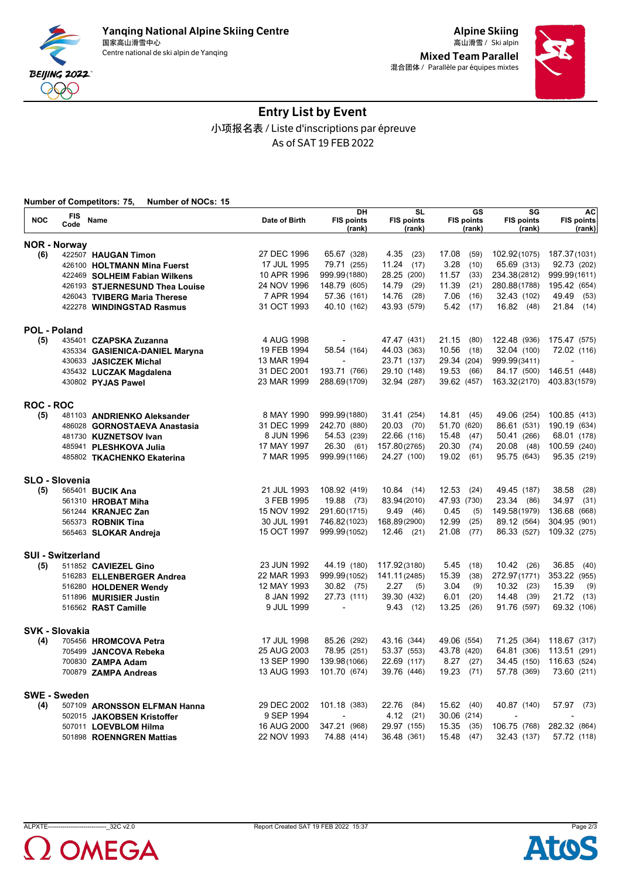



# Entry List by Event 小项报名表 / Liste d'inscriptions par épreuve As of SAT 19 FEB 2022

|                     |                          | <b>Number of Competitors: 75,</b><br><b>Number of NOCs: 15</b> |               |                                   |                                   |                                                       |                                                       |                                          |
|---------------------|--------------------------|----------------------------------------------------------------|---------------|-----------------------------------|-----------------------------------|-------------------------------------------------------|-------------------------------------------------------|------------------------------------------|
| <b>NOC</b>          | FIS<br>Code              | <b>Name</b>                                                    | Date of Birth | DH<br><b>FIS points</b><br>(rank) | SL<br><b>FIS points</b><br>(rank) | $\overline{\text{GS}}$<br><b>FIS points</b><br>(rank) | $\overline{\text{SG}}$<br><b>FIS points</b><br>(rank) | <b>AC</b><br><b>FIS points</b><br>(rank) |
|                     | <b>NOR - Norway</b>      |                                                                |               |                                   |                                   |                                                       |                                                       |                                          |
| (6)                 |                          | 422507 HAUGAN Timon                                            | 27 DEC 1996   | 65.67 (328)                       | 4.35<br>(23)                      | 17.08<br>(59)                                         | 102.92(1075)                                          | 187.37(1031)                             |
|                     |                          | 426100 HOLTMANN Mina Fuerst                                    | 17 JUL 1995   | 79.71 (255)                       | 11.24<br>(17)                     | 3.28<br>(10)                                          | 65.69 (313)                                           | 92.73 (202)                              |
|                     |                          | 422469 SOLHEIM Fabian Wilkens                                  | 10 APR 1996   | 999.99 (1880)                     | 28.25 (200)                       | 11.57<br>(33)                                         | 234.38(2812)                                          | 999.99(1611)                             |
|                     |                          | 426193 STJERNESUND Thea Louise                                 | 24 NOV 1996   | 148.79 (605)                      | (29)<br>14.79                     | 11.39<br>(21)                                         | 280.88(1788)                                          | 195.42 (654)                             |
|                     |                          | 426043 TVIBERG Maria Therese                                   | 7 APR 1994    | 57.36 (161)                       | (28)<br>14.76                     | 7.06<br>(16)                                          | 32.43 (102)                                           | 49.49 (53)                               |
|                     |                          | 422278 WINDINGSTAD Rasmus                                      | 31 OCT 1993   | 40.10 (162)                       | 43.93 (579)                       | 5.42<br>(17)                                          | 16.82 (48)                                            | $21.84$ (14)                             |
| <b>POL - Poland</b> |                          |                                                                |               |                                   |                                   |                                                       |                                                       |                                          |
| (5)                 |                          | 435401 CZAPSKA Zuzanna                                         | 4 AUG 1998    |                                   | 47.47 (431)                       | 21.15<br>(80)                                         | 122.48 (936)                                          | 175.47 (575)                             |
|                     |                          | 435334 GASIENICA-DANIEL Maryna                                 | 19 FEB 1994   | 58.54 (164)                       | 44.03 (363)                       | 10.56<br>(18)                                         | 32.04 (100)                                           | 72.02 (116)                              |
|                     |                          | 430633 JASICZEK Michal                                         | 13 MAR 1994   |                                   | 23.71 (137)                       | 29.34 (204)                                           | 999.99(3411)                                          |                                          |
|                     |                          | 435432 LUCZAK Magdalena                                        | 31 DEC 2001   | 193.71 (766)                      | 29.10 (148)                       | 19.53<br>(66)                                         | 84.17 (500)                                           | 146.51 (448)                             |
|                     |                          | 430802 PYJAS Pawel                                             | 23 MAR 1999   | 288.69(1709)                      | 32.94 (287)                       | 39.62 (457)                                           | 163.32(2170)                                          | 403.83(1579)                             |
| <b>ROC - ROC</b>    |                          |                                                                |               |                                   |                                   |                                                       |                                                       |                                          |
| (5)                 |                          | 481103 ANDRIENKO Aleksander                                    | 8 MAY 1990    | 999.99(1880)                      | 31.41 (254)                       | 14.81<br>(45)                                         | 49.06 (254)                                           | 100.85 (413)                             |
|                     |                          | 486028 GORNOSTAEVA Anastasia                                   | 31 DEC 1999   | 242.70 (880)                      | 20.03 (70)                        | 51.70 (620)                                           | 86.61 (531)                                           | 190.19 (634)                             |
|                     |                          | 481730 KUZNETSOV Ivan                                          | 8 JUN 1996    | 54.53 (239)                       | 22.66 (116)                       | 15.48<br>(47)                                         | 50.41 (266)                                           | 68.01 (178)                              |
|                     |                          | 485941 PLESHKOVA Julia                                         | 17 MAY 1997   | 26.30 (61)                        | 157.80(2765)                      | 20.30<br>(74)                                         | 20.08<br>(48)                                         | 100.59 (240)                             |
|                     |                          | 485802 TKACHENKO Ekaterina                                     | 7 MAR 1995    | 999.99(1166)                      | 24.27 (100)                       | 19.02<br>(61)                                         | 95.75 (643)                                           | 95.35 (219)                              |
|                     | <b>SLO - Slovenia</b>    |                                                                |               |                                   |                                   |                                                       |                                                       |                                          |
| (5)                 |                          | 565401 BUCIK Ana                                               | 21 JUL 1993   | 108.92 (419)                      | $10.84$ (14)                      | 12.53<br>(24)                                         | 49.45 (187)                                           | 38.58<br>(28)                            |
|                     |                          | 561310 HROBAT Miha                                             | 3 FEB 1995    | 19.88 (73)                        | 83.94 (2010)                      | 47.93 (730)                                           | 23.34<br>(86)                                         | 34.97<br>(31)                            |
|                     |                          | 561244 KRANJEC Zan                                             | 15 NOV 1992   | 291.60(1715)                      | 9.49(46)                          | 0.45<br>(5)                                           | 149.58(1979)                                          | 136.68 (668)                             |
|                     |                          | 565373 ROBNIK Tina                                             | 30 JUL 1991   | 746.82(1023)                      | 168.89(2900)                      | 12.99<br>(25)                                         | 89.12 (564)                                           | 304.95 (901)                             |
|                     |                          | 565463 SLOKAR Andreja                                          | 15 OCT 1997   | 999.99(1052)                      | $12.46$ (21)                      | 21.08<br>(77)                                         | 86.33 (527)                                           | 109.32 (275)                             |
|                     | <b>SUI - Switzerland</b> |                                                                |               |                                   |                                   |                                                       |                                                       |                                          |
| (5)                 |                          | 511852 CAVIEZEL Gino                                           | 23 JUN 1992   | 44.19 (180)                       | 117.92(3180)                      | 5.45<br>(18)                                          | $10.42$ (26)                                          | 36.85<br>(40)                            |
|                     |                          | 516283 ELLENBERGER Andrea                                      | 22 MAR 1993   | 999.99(1052)                      | 141.11(2485)                      | 15.39<br>(38)                                         | 272.97(1771)                                          | 353.22 (955)                             |
|                     |                          | 516280 HOLDENER Wendy                                          | 12 MAY 1993   | 30.82 (75)                        | 2.27<br>(5)                       | 3.04<br>(9)                                           | $10.32$ (23)                                          | 15.39<br>(9)                             |
|                     |                          | 511896 MURISIER Justin                                         | 8 JAN 1992    | 27.73 (111)                       | 39.30 (432)                       | 6.01<br>(20)                                          | 14.48<br>(39)                                         | 21.72<br>(13)                            |
|                     |                          | 516562 RAST Camille                                            | 9 JUL 1999    | $\overline{\phantom{a}}$          | 9.43(12)                          | 13.25<br>(26)                                         | 91.76 (597)                                           | 69.32 (106)                              |
|                     | <b>SVK - Slovakia</b>    |                                                                |               |                                   |                                   |                                                       |                                                       |                                          |
| (4)                 |                          | 705456 HROMCOVA Petra                                          | 17 JUL 1998   | 85.26 (292)                       | 43.16 (344)                       | 49.06 (554)                                           | 71.25 (364)                                           | 118.67 (317)                             |
|                     |                          | 705499 JANCOVA Rebeka                                          | 25 AUG 2003   | 78.95 (251)                       | 53.37 (553)                       | 43.78 (420)                                           | 64.81 (306)                                           | 113.51 (291)                             |
|                     |                          | 700830 ZAMPA Adam                                              | 13 SEP 1990   | 139.98(1066)                      | 22.69 (117)                       | 8.27<br>(27)                                          | 34.45 (150)                                           | 116.63 (524)                             |
|                     |                          | 700879 ZAMPA Andreas                                           | 13 AUG 1993   | 101.70 (674)                      | 39.76 (446)                       | 19.23 (71)                                            | 57.78 (369)                                           | 73.60 (211)                              |
|                     | <b>SWE - Sweden</b>      |                                                                |               |                                   |                                   |                                                       |                                                       |                                          |
| (4)                 |                          | 507109 ARONSSON ELFMAN Hanna                                   | 29 DEC 2002   | 101.18 (383)                      | 22.76<br>(84)                     | 15.62<br>(40)                                         | 40.87 (140)                                           | 57.97<br>(73)                            |
|                     |                          | 502015 JAKOBSEN Kristoffer                                     | 9 SEP 1994    |                                   | 4.12<br>(21)                      | 30.06 (214)                                           |                                                       |                                          |
|                     |                          | 507011 LOEVBLOM Hilma                                          | 16 AUG 2000   | 347.21 (968)                      | 29.97 (155)                       | 15.35<br>(35)                                         | 106.75 (768)                                          | 282.32 (864)                             |
|                     |                          | 501898 ROENNGREN Mattias                                       | 22 NOV 1993   | 74.88 (414)                       | 36.48 (361)                       | 15.48<br>(47)                                         | 32.43 (137)                                           | 57.72 (118)                              |



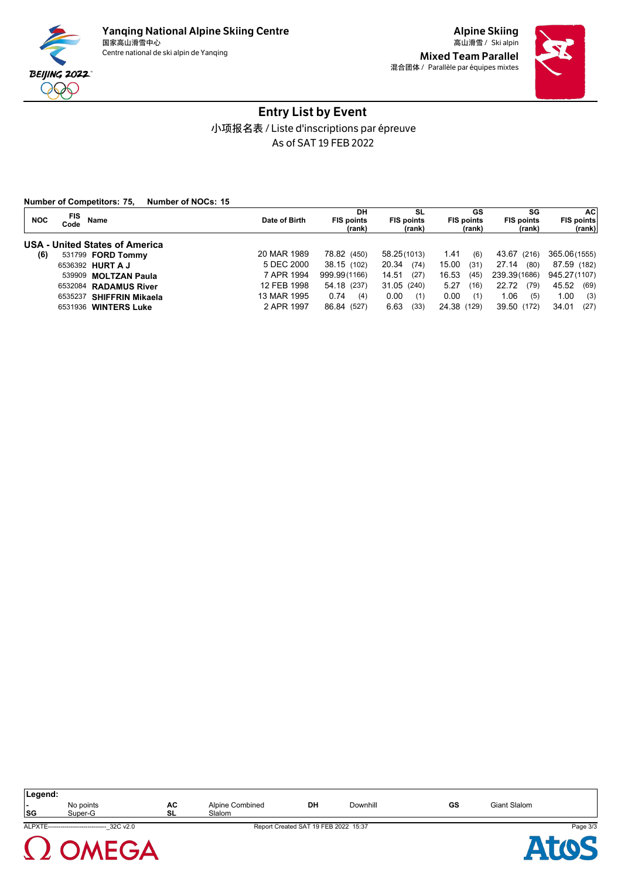



# Entry List by Event 小项报名表 / Liste d'inscriptions par épreuve As of SAT 19 FEB 2022

**Number of Competitors: 75, Number of NOCs: 15**

| <b>FIS</b><br><b>NOC</b><br>Name<br>Code | Date of Birth | DН<br><b>FIS points</b><br>(rank) | SL<br><b>FIS points</b><br>(rank) | GS<br><b>FIS points</b><br>(rank) | SG<br><b>FIS points</b><br>(rank) | AC<br><b>FIS points</b><br>(rank) |
|------------------------------------------|---------------|-----------------------------------|-----------------------------------|-----------------------------------|-----------------------------------|-----------------------------------|
| <b>USA - United States of America</b>    |               |                                   |                                   |                                   |                                   |                                   |
| (6)<br>531799 <b>FORD Tommy</b>          | 20 MAR 1989   | 78.82 (450)                       | 58.25(1013)                       | 1.41<br>(6)                       | 43.67 (216)                       | 365.06(1555)                      |
| 6536392 HURT A J                         | 5 DEC 2000    | 38.15 (102)                       | 20.34<br>(74)                     | 15.00<br>(31)                     | 27.14<br>(80)                     | 87.59 (182)                       |
| 539909 MOLTZAN Paula                     | 7 APR 1994    | 999.99(1166)                      | 14.51<br>(27)                     | 16.53<br>(45)                     | 239.39(1686)                      | 945.27(1107)                      |
| 6532084 RADAMUS River                    | 12 FEB 1998   | 54.18 (237)                       | 31.05 (240)                       | 5.27<br>(16)                      | 22.72<br>(79)                     | 45.52<br>(69)                     |
| 6535237 SHIFFRIN Mikaela                 | 13 MAR 1995   | 0.74<br>(4)                       | 0.00<br>(1)                       | 0.00<br>(1)                       | 1.06<br>(5)                       | 1.00<br>(3)                       |
| 6531936 WINTERS Luke                     | 2 APR 1997    | 86.84 (527)                       | 6.63<br>(33)                      | 24.38 (129)                       | 39.50 (172)                       | 34.01<br>(27)                     |

| Legend:<br>$\overline{\phantom{0}}$<br>SG | No points<br>Super-G                         | AC<br>SL | Alpine Combined<br>Slalom | DH                                   | Downhill | GS | <b>Giant Slalom</b> |          |
|-------------------------------------------|----------------------------------------------|----------|---------------------------|--------------------------------------|----------|----|---------------------|----------|
|                                           | ALPXTE----------------------------- 32C v2.0 |          |                           | Report Created SAT 19 FEB 2022 15:37 |          |    |                     | Page 3/3 |
| $\left( \quad \right)$                    | $G \Delta$                                   |          |                           |                                      |          |    |                     |          |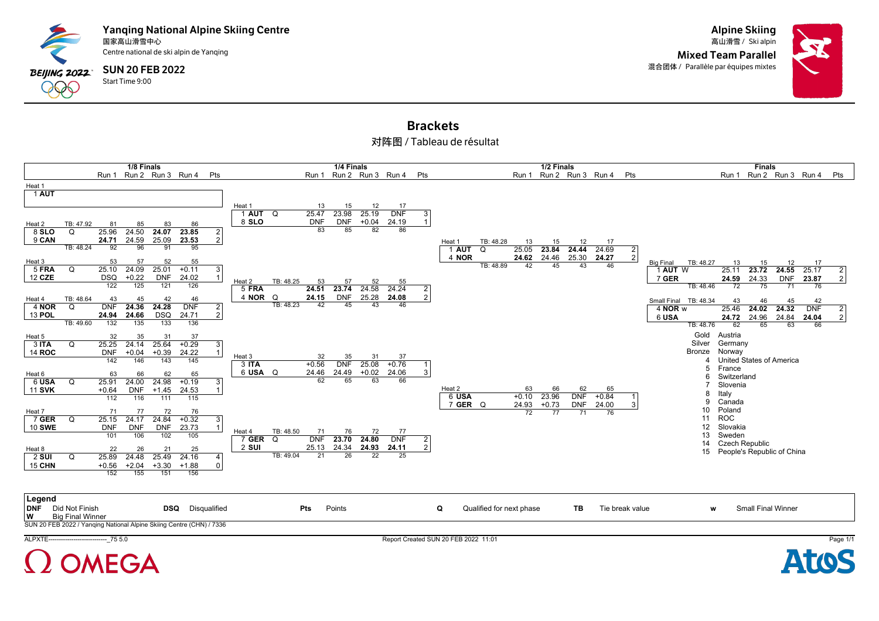



### Brackets 对阵图 / Tableau de résultat

|                        |           |                  | 1/8 Finals          |                  |                             |                   |                     |                  | 1/4 Finals       |               |                       |                |            |           |                 | 1/2 Finals  |                         |             |                | <b>Finals</b>                                         |                |
|------------------------|-----------|------------------|---------------------|------------------|-----------------------------|-------------------|---------------------|------------------|------------------|---------------|-----------------------|----------------|------------|-----------|-----------------|-------------|-------------------------|-------------|----------------|-------------------------------------------------------|----------------|
|                        |           |                  |                     |                  | Run 1 Run 2 Run 3 Run 4 Pts |                   |                     | Run 1            |                  |               | Run 2 Run 3 Run 4 Pts |                |            |           |                 |             | Run 1 Run 2 Run 3 Run 4 |             | Pts            | Run 1 Run 2 Run 3 Run 4                               | Pts            |
| Heat 1                 |           |                  |                     |                  |                             |                   |                     |                  |                  |               |                       |                |            |           |                 |             |                         |             |                |                                                       |                |
| 1 AUT                  |           |                  |                     |                  |                             |                   |                     |                  |                  |               |                       |                |            |           |                 |             |                         |             |                |                                                       |                |
|                        |           |                  |                     |                  |                             |                   |                     |                  |                  |               |                       |                |            |           |                 |             |                         |             |                |                                                       |                |
|                        |           |                  |                     |                  |                             |                   | Heat 1              | 13               | 15               | 12            | 17                    |                |            |           |                 |             |                         |             |                |                                                       |                |
|                        |           |                  |                     |                  |                             |                   | 1 <b>AUT</b> Q      | 25.47            | 23.98            | 25.19         | <b>DNF</b>            | 3              |            |           |                 |             |                         |             |                |                                                       |                |
| Heat 2                 | TB: 47.92 | 81               | 85                  | 83               | 86                          |                   | 8 SLO               | <b>DNF</b><br>83 | <b>DNF</b><br>85 | $+0.04$<br>82 | 24.19<br>86           |                |            |           |                 |             |                         |             |                |                                                       |                |
| 8 SLO                  | Q         | 25.96            | 24.50<br>24.59      | 24.07<br>25.09   | 23.85                       | 2<br>2            |                     |                  |                  |               |                       |                |            |           |                 |             |                         |             |                |                                                       |                |
| 9 CAN                  | TB: 48.24 | 24.71<br>92      | 96                  | 91               | 23.53<br>95                 |                   |                     |                  |                  |               |                       |                | Heat 1     | TB: 48.28 | 13              | 15          | 12                      | 17          |                |                                                       |                |
|                        |           |                  |                     |                  |                             |                   |                     |                  |                  |               |                       |                | <b>AUT</b> | Q         | 25.05           | 23.84       | 24.44                   | 24.69       | $\vert$ 2      |                                                       |                |
| Heat 3                 |           | 53               | 57                  | 52               | 55                          |                   |                     |                  |                  |               |                       |                | 4 NOR      | TB: 48.89 | 24.62<br>42     | 24.46<br>45 | 25.30<br>43             | 24.27<br>46 | $\overline{2}$ | TB: 48.27<br>13<br><b>Big Final</b><br>15<br>12<br>17 |                |
| 5 FRA                  | Q         | 25.10            | 24.09               | 25.01            | $+0.11$                     | 3                 |                     |                  |                  |               |                       |                |            |           |                 |             |                         |             |                | 23.72<br>24.55 25.17<br>25.11<br>1 AUT W              | 2              |
| 12 CZE                 |           | <b>DSQ</b>       | $+0.22$             | <b>DNF</b>       | 24.02                       |                   | TB: 48.25<br>Heat 2 | 53               | 57               | 52            | 55                    |                |            |           |                 |             |                         |             |                | 24.59<br>24.33<br>7 GER<br><b>DNF</b><br>23.87        | 2 <sup>1</sup> |
|                        |           | $\overline{122}$ | $\overline{125}$    | 121              | 126                         |                   | 5 FRA               | 24.51            | 23.74            | 24.58         | 24.24                 | $\overline{2}$ |            |           |                 |             |                         |             |                | TB: 48.46<br>72<br>75<br>71<br>76                     |                |
| Heat 4                 | TB: 48.64 | 43               | 45                  | 42               | 46                          |                   | 4 NOR Q             | 24.15            | <b>DNF</b>       | 25.28         | 24.08                 | 2              |            |           |                 |             |                         |             |                | Small Final TB: 48.34<br>43<br>46<br>45<br>42         |                |
| 4 NOR                  | Q         | <b>DNF</b>       | 24.36               | 24.28            | <b>DNF</b>                  | 2                 | TB: 48.23           | 42               | 45               | 43            | 46                    |                |            |           |                 |             |                         |             |                | 25.46<br>24.02<br>24.32<br>4 NOR w<br><b>DNF</b>      | $\overline{2}$ |
| 13 POL                 |           | 24.94            | 24.66               | <b>DSQ</b>       | 24.71                       | 2                 |                     |                  |                  |               |                       |                |            |           |                 |             |                         |             |                | 24.96<br>24.84<br>6 USA<br>24.72<br>24.04             | 2 <sub>1</sub> |
|                        | TB: 49.60 | $\overline{132}$ | 135                 | 133              | 136                         |                   |                     |                  |                  |               |                       |                |            |           |                 |             |                         |             |                | TB: 48.76<br>62<br>65<br>63<br>66                     |                |
| Heat 5                 |           | 32               | 35                  | 31               | 37                          |                   |                     |                  |                  |               |                       |                |            |           |                 |             |                         |             |                | Gold<br>Austria                                       |                |
| 3 ITA                  | Q         | 25.25            | 24.14               | 25.64            | $+0.29$                     | 3                 |                     |                  |                  |               |                       |                |            |           |                 |             |                         |             |                | Silver<br>Germany                                     |                |
| 14 ROC                 |           | <b>DNF</b>       | $+0.04$             | $+0.39$          | 24.22                       |                   |                     |                  |                  |               |                       |                |            |           |                 |             |                         |             |                | Bronze<br>Norway                                      |                |
|                        |           | 142              | 146                 | 143              | 145                         |                   | Heat 3              | 32               | 35               | 31            | 37                    |                |            |           |                 |             |                         |             |                | United States of America                              |                |
|                        |           |                  |                     |                  |                             |                   | 3 ITA               | $+0.56$          | <b>DNF</b>       | 25.08         | $+0.76$               |                |            |           |                 |             |                         |             |                | France<br>5                                           |                |
| Heat 6                 |           | 63               | 66                  | 62               | 65                          |                   | 6 USA Q             | 24.46<br>62      | 24.49<br>65      | $+0.02$<br>63 | 24.06<br>66           | 3              |            |           |                 |             |                         |             |                | Switzerland<br>6                                      |                |
| 6 USA<br><b>11 SVK</b> | Q         | 25.91            | 24.00<br><b>DNF</b> | 24.98<br>$+1.45$ | $+0.19$                     | 3<br>$\mathbf{1}$ |                     |                  |                  |               |                       |                | Heat 2     |           | 63              | 66          | 62                      | 65          |                | Slovenia                                              |                |
|                        |           | $+0.64$<br>112   | 116                 | 111              | 24.53<br>115                |                   |                     |                  |                  |               |                       |                | 6 USA      |           | $+0.10$         | 23.96       | <b>DNF</b>              | $+0.84$     |                | Italy<br>8                                            |                |
|                        |           |                  |                     |                  |                             |                   |                     |                  |                  |               |                       |                | 7 GER Q    |           | 24.93           | $+0.73$     | <b>DNF</b>              | 24.00       | 3              | Canada<br>9                                           |                |
| Heat 7                 |           | 71               | 77                  | 72               | 76                          |                   |                     |                  |                  |               |                       |                |            |           | $\overline{72}$ | 77          | 71                      | 76          |                | Poland<br>10                                          |                |
| 7 GER                  | Q         | 25.15            | 24.17               | 24.84            | $+0.32$                     | 3                 |                     |                  |                  |               |                       |                |            |           |                 |             |                         |             |                | <b>ROC</b><br>11                                      |                |
| 10 SWE                 |           | <b>DNF</b>       | <b>DNF</b>          | <b>DNF</b>       | 23.73                       | $\overline{1}$    | TB: 48.50<br>Heat 4 | 71               | 76               | 72            | 77                    |                |            |           |                 |             |                         |             |                | Slovakia<br>12                                        |                |
|                        |           | 101              | 106                 | 102              | 105                         |                   | 7 GER Q             | <b>DNF</b>       | 23.70            | 24.80         | <b>DNF</b>            | $\overline{2}$ |            |           |                 |             |                         |             |                | Sweden<br>13                                          |                |
| Heat 8                 |           | 22               | 26                  | 21               | 25                          |                   | $2$ SUI             | 25.13            | 24.34            | 24.93         | 24.11                 | $\overline{2}$ |            |           |                 |             |                         |             |                | <b>Czech Republic</b><br>14                           |                |
| <b>2 SUI</b>           | Q         | 25.89            | 24.48               | 25.49            | 24.16                       | 4                 | TB: 49.04           | 21               | 26               | 22            | 25                    |                |            |           |                 |             |                         |             |                | People's Republic of China<br>15                      |                |
| <b>15 CHN</b>          |           | $+0.56$          | $+2.04$             | $+3.30$          | $+1.88$                     | 0                 |                     |                  |                  |               |                       |                |            |           |                 |             |                         |             |                |                                                       |                |
|                        |           | 152              | 155                 | 151              | 156                         |                   |                     |                  |                  |               |                       |                |            |           |                 |             |                         |             |                |                                                       |                |
|                        |           |                  |                     |                  |                             |                   |                     |                  |                  |               |                       |                |            |           |                 |             |                         |             |                |                                                       |                |
|                        |           |                  |                     |                  |                             |                   |                     |                  |                  |               |                       |                |            |           |                 |             |                         |             |                |                                                       |                |

| Legend                 |                                                                      |                         |     |        |  |                          |    |                 |     |                           |
|------------------------|----------------------------------------------------------------------|-------------------------|-----|--------|--|--------------------------|----|-----------------|-----|---------------------------|
| <b>DNF</b>             | Did Not Finish                                                       | <b>DSQ</b> Disqualified | Pts | Points |  | Qualified for next phase | ΤВ | Tie break value | 187 | <b>Small Final Winner</b> |
| $\mathsf{I}\mathsf{w}$ | <b>Big Final Winner</b>                                              |                         |     |        |  |                          |    |                 |     |                           |
|                        | SUN 20 FEB 2022 / Yanqing National Alpine Skiing Centre (CHN) / 7336 |                         |     |        |  |                          |    |                 |     |                           |



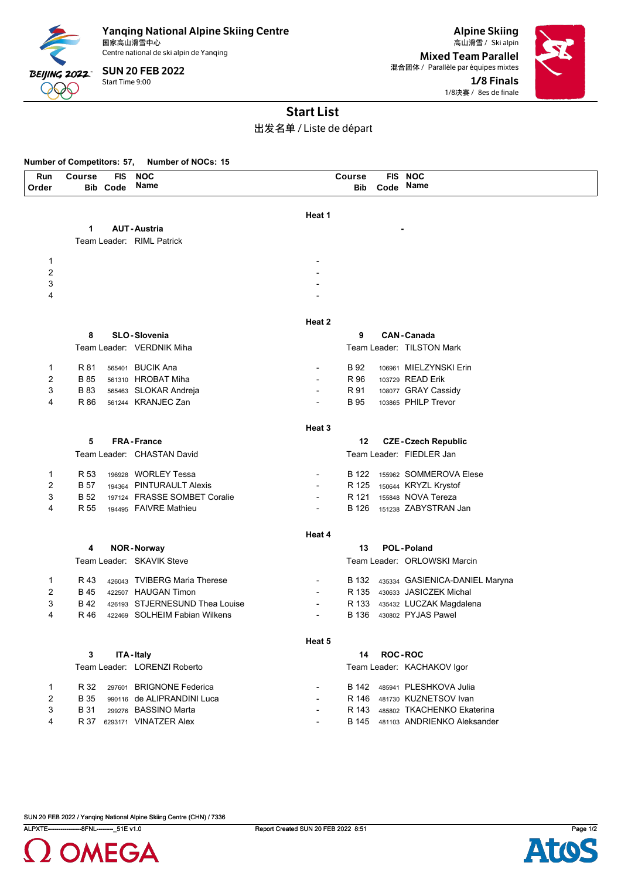

Centre national de ski alpin de Yanqing

Start Time 9:00 SUN 20 FEB 2022

Alpine Skiing Mixed Team Parallel 混合团体 / Parallèle par équipes mixtes 1/8 Finals 1/8决赛 / 8es de finale



# Start List

出发名单 / Liste de départ

#### **Number of Competitors: 57, Number of NOCs: 15**

| Run            | Course      | FIS             | <b>NOC</b>                     |                   | <b>Course</b> |                | FIS NOC                              |
|----------------|-------------|-----------------|--------------------------------|-------------------|---------------|----------------|--------------------------------------|
| Order          |             | <b>Bib Code</b> | Name                           |                   | Bib           | Code           | Name                                 |
|                |             |                 |                                |                   |               |                |                                      |
|                |             |                 |                                | Heat 1            |               |                |                                      |
|                | 1           |                 | <b>AUT-Austria</b>             |                   |               |                |                                      |
|                |             |                 | Team Leader: RIML Patrick      |                   |               |                |                                      |
|                |             |                 |                                |                   |               |                |                                      |
| 1              |             |                 |                                |                   |               |                |                                      |
| 2              |             |                 |                                |                   |               |                |                                      |
| 3<br>4         |             |                 |                                |                   |               |                |                                      |
|                |             |                 |                                |                   |               |                |                                      |
|                |             |                 |                                | Heat 2            |               |                |                                      |
|                | 8           |                 | <b>SLO-Slovenia</b>            |                   | 9             |                | <b>CAN-Canada</b>                    |
|                |             |                 | Team Leader: VERDNIK Miha      |                   |               |                | Team Leader: TILSTON Mark            |
|                |             |                 |                                |                   |               |                |                                      |
| 1              | R 81        |                 | 565401 BUCIK Ana               |                   | B 92          |                | 106961 MIELZYNSKI Erin               |
| $\overline{2}$ | B 85        |                 | 561310 HROBAT Miha             |                   | R 96          |                | 103729 READ Erik                     |
| 3              | <b>B</b> 83 |                 | 565463 SLOKAR Andreja          |                   | R 91          |                | 108077 GRAY Cassidy                  |
| 4              | R 86        |                 | 561244 KRANJEC Zan             |                   | <b>B</b> 95   |                | 103865 PHILP Trevor                  |
|                |             |                 |                                |                   |               |                |                                      |
|                |             |                 |                                | Heat <sub>3</sub> |               |                |                                      |
|                | 5           |                 | <b>FRA-France</b>              |                   | 12            |                | <b>CZE-Czech Republic</b>            |
|                |             |                 | Team Leader: CHASTAN David     |                   |               |                | Team Leader: FIEDLER Jan             |
| 1              | R 53        |                 | 196928 WORLEY Tessa            |                   |               |                | B 122 155962 SOMMEROVA Elese         |
| $\overline{2}$ | B 57        |                 | 194364 PINTURAULT Alexis       |                   | R 125         |                | 150644 KRYZL Krystof                 |
| 3              | <b>B</b> 52 |                 | 197124 FRASSE SOMBET Coralie   |                   | R 121         |                | 155848 NOVA Tereza                   |
| 4              | R 55        |                 | 194495 FAIVRE Mathieu          |                   | B 126         |                | 151238 ZABYSTRAN Jan                 |
|                |             |                 |                                |                   |               |                |                                      |
|                |             |                 |                                | Heat 4            |               |                |                                      |
|                | 4           |                 | <b>NOR-Norway</b>              |                   | 13            |                | <b>POL-Poland</b>                    |
|                |             |                 | Team Leader: SKAVIK Steve      |                   |               |                | Team Leader: ORLOWSKI Marcin         |
| 1              | R 43        |                 | 426043 TVIBERG Maria Therese   | $\blacksquare$    |               |                | B 132 435334 GASIENICA-DANIEL Maryna |
| $\overline{2}$ | B 45        |                 | 422507 HAUGAN Timon            |                   | R 135         |                | 430633 JASICZEK Michal               |
| 3              | B 42        |                 | 426193 STJERNESUND Thea Louise |                   | R 133         |                | 435432 LUCZAK Magdalena              |
| 4              | R 46        |                 | 422469 SOLHEIM Fabian Wilkens  |                   | B 136         |                | 430802 PYJAS Pawel                   |
|                |             |                 |                                |                   |               |                |                                      |
|                |             |                 |                                | Heat 5            |               |                |                                      |
|                | 3           |                 | ITA-Italy                      |                   | 14            | <b>ROC-ROC</b> |                                      |
|                |             |                 | Team Leader: LORENZI Roberto   |                   |               |                | Team Leader: KACHAKOV Igor           |
|                |             |                 |                                |                   |               |                |                                      |
| 1              | R 32        |                 | 297601 BRIGNONE Federica       |                   | B 142         |                | 485941 PLESHKOVA Julia               |
| 2              | <b>B</b> 35 |                 | 990116 de ALIPRANDINI Luca     |                   | R 146         |                | 481730 KUZNETSOV Ivan                |
| 3              | B 31        |                 | 299276 BASSINO Marta           |                   | R 143         |                | 485802 TKACHENKO Ekaterina           |
| 4              |             |                 | R 37 6293171 VINATZER Alex     |                   |               |                | B 145 481103 ANDRIENKO Aleksander    |



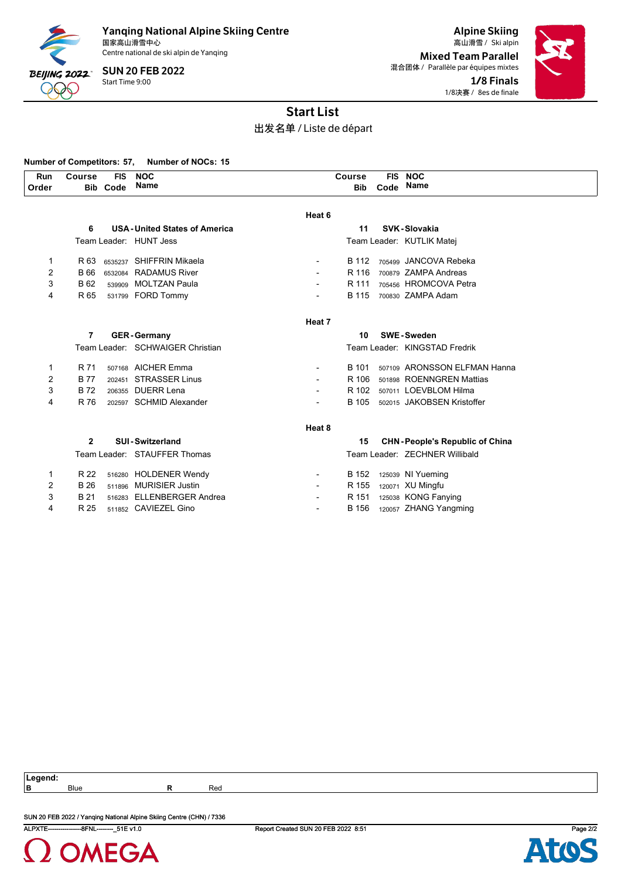

Centre national de ski alpin de Yanqing

Start Time 9:00 SUN 20 FEB 2022

Alpine Skiing 国家高山滑雪中心 Ski alpin 高山滑雪 / Mixed Team Parallel 混合团体 / Parallèle par équipes mixtes 1/8 Finals 1/8决赛 / 8es de finale



### Start List

### 出发名单 / Liste de départ

| Run            | <b>Course</b>  | <b>FIS</b>      | <b>NOC</b>                          |                          | <b>Course</b> | <b>FIS</b> | <b>NOC</b>                            |
|----------------|----------------|-----------------|-------------------------------------|--------------------------|---------------|------------|---------------------------------------|
| Order          |                | <b>Bib Code</b> | Name                                |                          | <b>Bib</b>    | Code       | Name                                  |
|                |                |                 |                                     | Heat 6                   |               |            |                                       |
|                | 6              |                 | <b>USA-United States of America</b> |                          | 11            |            | SVK-Slovakia                          |
|                |                |                 | Team Leader: HUNT Jess              |                          |               |            | Team Leader: KUTLIK Matej             |
| 1              | R 63           |                 | 6535237 SHIFFRIN Mikaela            | $\overline{\phantom{a}}$ |               |            | B 112 705499 JANCOVA Rebeka           |
| $\overline{2}$ | B 66           |                 | 6532084 RADAMUS River               |                          | R 116         |            | 700879 ZAMPA Andreas                  |
| 3              | B 62           |                 | 539909 MOLTZAN Paula                | $\blacksquare$           | R 111         |            | 705456 HROMCOVA Petra                 |
| 4              | R 65           |                 | 531799 FORD Tommy                   |                          | B 115         |            | 700830 ZAMPA Adam                     |
|                |                |                 |                                     | Heat 7                   |               |            |                                       |
|                | $\overline{7}$ |                 | <b>GER-Germany</b>                  |                          | 10            |            | <b>SWE-Sweden</b>                     |
|                |                |                 | Team Leader: SCHWAIGER Christian    |                          |               |            | Team Leader: KINGSTAD Fredrik         |
| 1              | R 71           |                 | 507168 AICHER Emma                  | $\blacksquare$           | B 101         |            | 507109 ARONSSON ELFMAN Hanna          |
| $\overline{2}$ | <b>B77</b>     |                 | 202451 STRASSER Linus               |                          | R 106         |            | 501898 ROENNGREN Mattias              |
| 3              | <b>B72</b>     |                 | 206355 DUERR Lena                   |                          | R 102         |            | 507011 LOEVBLOM Hilma                 |
| 4              | R 76           |                 | 202597 SCHMID Alexander             |                          | B 105         |            | 502015 JAKOBSEN Kristoffer            |
|                |                |                 |                                     | Heat 8                   |               |            |                                       |
|                | $\mathbf{2}$   |                 | <b>SUI-Switzerland</b>              |                          | 15            |            | <b>CHN-People's Republic of China</b> |
|                |                |                 | Team Leader: STAUFFER Thomas        |                          |               |            | Team Leader: ZECHNER Willibald        |
| 1              | R 22           |                 | 516280 HOLDENER Wendy               |                          | <b>B</b> 152  |            | 125039 NI Yueming                     |
| $\overline{2}$ | <b>B26</b>     | 511896          | <b>MURISIER Justin</b>              |                          | R 155         |            | 120071 XU Mingfu                      |
| 3              | B 21           |                 | 516283 ELLENBERGER Andrea           |                          | R 151         |            | 125038 KONG Fanying                   |

4 R 25 511852 CAVIEZEL Gino - B 156 120057 ZHANG Yangming

**Legend:**

**B** Blue **R** Red

ALPXTE----------------8FNL--------\_51E v1.0 Report Created SUN 20 FEB 2022 8:51 Page 2/2 SUN 20 FEB 2022 / Yanqing National Alpine Skiing Centre (CHN) / 7336



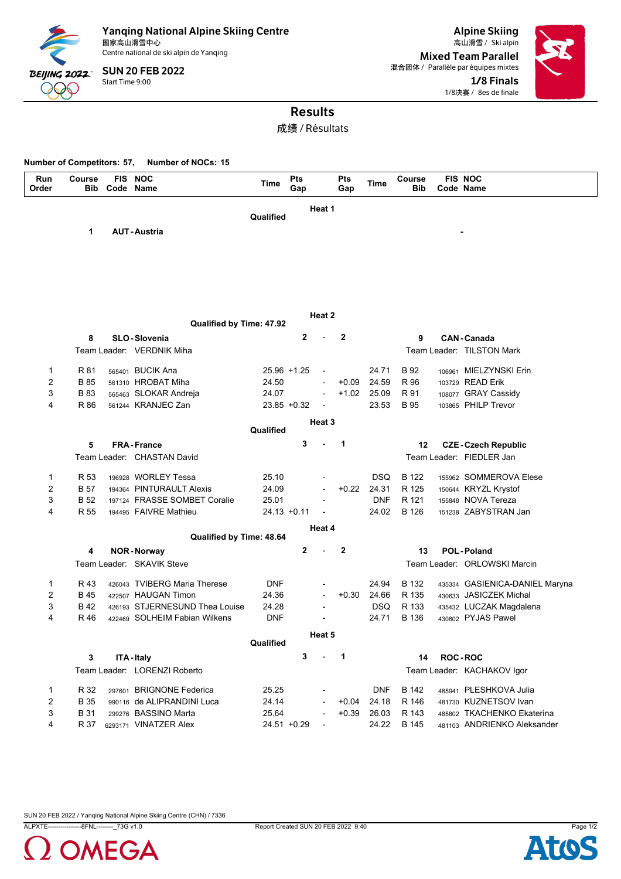

Yanqing National Alpine Skiing Centre<br><sub>国家高山滑雪中心</sub> 国家高山滑雪中心 Ski alpin 高山滑雪 / Centre national de ski alpin de Yanqing

Start Time 9:00 SUN 20 FEB 2022

Alpine Skiing Mixed Team Parallel 混合团体 / Parallèle par équipes mixtes 1/8 Finals 1/8决赛 / 8es de finale



# Results

成绩 / Résultats

**Number of Competitors: 57, Number of NOCs: 15**

| <b>Run</b><br>Order | Course<br><b>Bib</b> | FIS NOC<br>Code Name           | Time           | Pts<br>Gap     |                          | Pts<br>Gap     | Time       | Course<br><b>Bib</b> | <b>FIS NOC</b><br>Code Name    |
|---------------------|----------------------|--------------------------------|----------------|----------------|--------------------------|----------------|------------|----------------------|--------------------------------|
|                     |                      |                                |                |                |                          |                |            |                      |                                |
|                     |                      |                                |                |                | Heat 1                   |                |            |                      |                                |
|                     |                      |                                | Qualified      |                |                          |                |            |                      |                                |
|                     | 1                    | <b>AUT-Austria</b>             |                |                |                          |                |            |                      |                                |
|                     |                      |                                |                |                |                          |                |            |                      |                                |
|                     |                      |                                |                |                |                          |                |            |                      |                                |
|                     |                      |                                |                |                |                          |                |            |                      |                                |
|                     |                      |                                |                |                |                          |                |            |                      |                                |
|                     |                      |                                |                |                |                          |                |            |                      |                                |
|                     |                      |                                |                |                | Heat 2                   |                |            |                      |                                |
|                     |                      | Qualified by Time: 47.92       |                |                |                          |                |            |                      |                                |
|                     | 8                    | <b>SLO-Slovenia</b>            |                | 2              |                          | $\overline{2}$ |            | 9                    | <b>CAN-Canada</b>              |
|                     |                      | Team Leader: VERDNIK Miha      |                |                |                          |                |            |                      | Team Leader: TILSTON Mark      |
|                     |                      |                                |                |                |                          |                |            |                      |                                |
| 1                   | R 81                 | 565401 BUCIK Ana               |                | 25.96 +1.25    | ÷,                       |                | 24.71      | B 92                 | 106961 MIELZYNSKI Erin         |
| $\overline{2}$      | <b>B</b> 85          | 561310 HROBAT Miha             | 24.50          |                | $\overline{a}$           | $+0.09$        | 24.59      | R 96                 | 103729 READ Erik               |
| 3                   | <b>B</b> 83          | 565463 SLOKAR Andreja          | 24.07          |                | ÷,                       | $+1.02$        | 25.09      | R 91                 | 108077 GRAY Cassidy            |
| 4                   | R 86                 | 561244 KRANJEC Zan             |                | $23.85 + 0.32$ | ÷,                       |                | 23.53      | B 95                 | 103865 PHILP Trevor            |
|                     |                      |                                |                |                | Heat 3                   |                |            |                      |                                |
|                     |                      |                                | Qualified      |                |                          |                |            |                      |                                |
|                     | 5                    | <b>FRA-France</b>              |                | 3              |                          | $\mathbf{1}$   |            | 12                   | <b>CZE-Czech Republic</b>      |
|                     |                      | Team Leader: CHASTAN David     |                |                |                          |                |            |                      | Team Leader: FIEDLER Jan       |
|                     |                      | 196928 WORLEY Tessa            | 25.10          |                |                          |                | <b>DSQ</b> | B 122                | 155962 SOMMEROVA Elese         |
| 1<br>$\overline{2}$ | R 53<br><b>B</b> 57  | 194364 PINTURAULT Alexis       | 24.09          |                | ÷,                       | $+0.22$        | 24.31      | R 125                | 150644 KRYZL Krystof           |
| 3                   | <b>B</b> 52          | 197124 FRASSE SOMBET Coralie   | 25.01          |                |                          |                | <b>DNF</b> | R 121                | 155848 NOVA Tereza             |
| 4                   | R 55                 | 194495 FAIVRE Mathieu          | $24.13 + 0.11$ |                |                          |                | 24.02      | B 126                | 151238 ZABYSTRAN Jan           |
|                     |                      |                                |                |                |                          |                |            |                      |                                |
|                     |                      | Qualified by Time: 48.64       |                |                | Heat 4                   |                |            |                      |                                |
|                     | 4                    | <b>NOR-Norway</b>              |                | $\mathbf 2$    |                          | $\overline{2}$ |            | 13                   | <b>POL-Poland</b>              |
|                     |                      | Team Leader: SKAVIK Steve      |                |                |                          |                |            |                      | Team Leader: ORLOWSKI Marcin   |
|                     |                      |                                |                |                |                          |                |            |                      |                                |
| 1                   | R 43                 | 426043 TVIBERG Maria Therese   | <b>DNF</b>     |                |                          |                | 24.94      | B 132                | 435334 GASIENICA-DANIEL Maryna |
| $\overline{2}$      | <b>B</b> 45          | 422507 HAUGAN Timon            | 24.36          |                | ÷,                       | $+0.30$        | 24.66      | R 135                | 430633 JASICZEK Michal         |
| 3                   | B 42                 | 426193 STJERNESUND Thea Louise | 24.28          |                |                          |                | <b>DSQ</b> | R 133                | 435432 LUCZAK Magdalena        |
| 4                   | R 46                 | 422469 SOLHEIM Fabian Wilkens  | <b>DNF</b>     |                |                          |                | 24.71      | B 136                | 430802 PYJAS Pawel             |
|                     |                      |                                |                |                | Heat 5                   |                |            |                      |                                |
|                     |                      |                                | Qualified      |                |                          |                |            |                      |                                |
|                     | 3                    | ITA - Italy                    |                | 3              | $\overline{\phantom{a}}$ | $\overline{1}$ |            | 14                   | <b>ROC-ROC</b>                 |
|                     |                      | Team Leader: LORENZI Roberto   |                |                |                          |                |            |                      | Team Leader: KACHAKOV Igor     |
|                     |                      |                                |                |                |                          |                |            |                      |                                |
| 1                   | R 32                 | 297601 BRIGNONE Federica       | 25.25          |                |                          |                | <b>DNF</b> | B 142                | 485941 PLESHKOVA Julia         |
| 2                   | <b>B</b> 35          | 990116 de ALIPRANDINI Luca     | 24.14          |                | L,                       | $+0.04$        | 24.18      | R 146                | 481730 KUZNETSOV Ivan          |
| 3                   | <b>B31</b>           | 299276 BASSINO Marta           | 25.64          |                |                          | $+0.39$        | 26.03      | R 143                | 485802 TKACHENKO Ekaterina     |
| 4                   | R 37                 | 6293171 VINATZER Alex          | 24.51 +0.29    |                | $\overline{\phantom{a}}$ |                | 24.22      | B 145                | 481103 ANDRIENKO Aleksander    |

SUN 20 FEB 2022 / Yanqing National Alpine Skiing Centre (CHN) / 7336





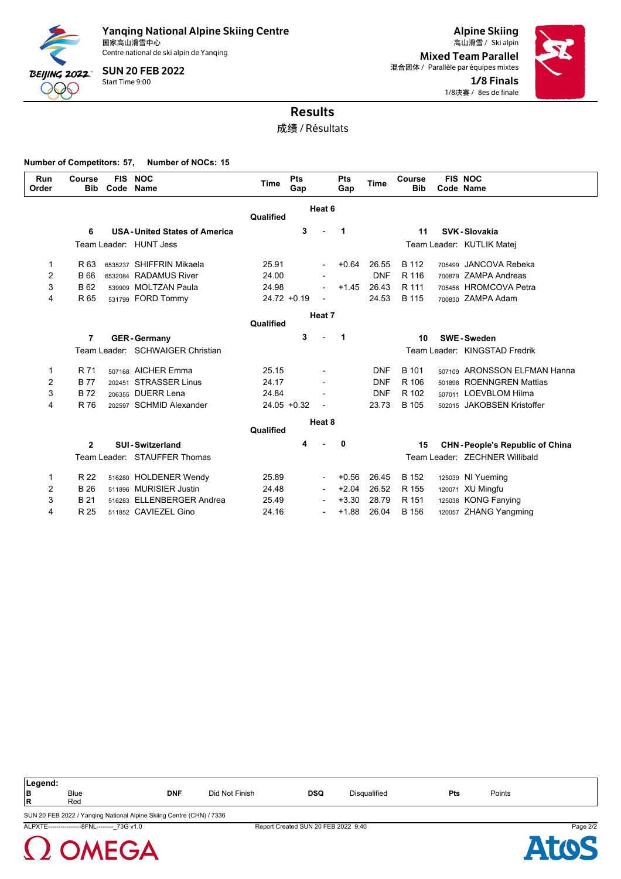

Centre national de ski alpin de Yanqing

Start Time 9:00 SUN 20 FEB 2022

Alpine Skiing Mixed Team Parallel 混合团体 / Parallèle par équipes mixtes 1/8 Finals 1/8决赛 / 8es de finale



### Results

成绩 / Résultats

**Number of Competitors: 57, Number of NOCs: 15**

| Run<br>Order   | Course<br><b>Bib</b> | <b>FIS</b><br>Code | <b>NOC</b><br><b>Name</b>           | Time           | Pts<br>Gap |                          | Pts<br>Gap              | Time       | Course<br><b>Bib</b> | <b>FIS NOC</b><br>Code Name           |
|----------------|----------------------|--------------------|-------------------------------------|----------------|------------|--------------------------|-------------------------|------------|----------------------|---------------------------------------|
|                |                      |                    |                                     | Qualified      |            | Heat 6                   |                         |            |                      |                                       |
|                | 6                    |                    | <b>USA-United States of America</b> |                | 3          |                          | $\overline{\mathbf{1}}$ |            | 11                   | SVK-Slovakia                          |
|                |                      |                    | Team Leader: HUNT Jess              |                |            |                          |                         |            |                      | Team Leader: KUTLIK Matej             |
| 1              | R 63                 |                    | 6535237 SHIFFRIN Mikaela            | 25.91          |            | $\overline{\phantom{a}}$ | $+0.64$                 | 26.55      | B 112                | 705499 JANCOVA Rebeka                 |
| $\overline{2}$ | B 66                 |                    | 6532084 RADAMUS River               | 24.00          |            |                          |                         | <b>DNF</b> | R 116                | 700879 ZAMPA Andreas                  |
| 3              | <b>B62</b>           |                    | 539909 MOLTZAN Paula                | 24.98          |            | L,                       | $+1.45$                 | 26.43      | R 111                | 705456 HROMCOVA Petra                 |
| 4              | R 65                 |                    | 531799 FORD Tommy                   | $24.72 + 0.19$ |            |                          |                         | 24.53      | <b>B</b> 115         | 700830 ZAMPA Adam                     |
|                |                      |                    |                                     |                |            | Heat 7                   |                         |            |                      |                                       |
|                |                      |                    |                                     | Qualified      |            |                          |                         |            |                      |                                       |
|                | 7                    |                    | <b>GER-Germany</b>                  |                | 3          |                          | $\mathbf 1$             |            | 10                   | <b>SWE-Sweden</b>                     |
|                |                      |                    | Team Leader: SCHWAIGER Christian    |                |            |                          |                         |            |                      | Team Leader: KINGSTAD Fredrik         |
| 1              | R 71                 |                    | 507168 AICHER Emma                  | 25.15          |            |                          |                         | <b>DNF</b> | <b>B</b> 101         | 507109 ARONSSON ELFMAN Hanna          |
| 2              | <b>B77</b>           |                    | 202451 STRASSER Linus               | 24.17          |            |                          |                         | <b>DNF</b> | R 106                | 501898 ROENNGREN Mattias              |
| 3              | <b>B72</b>           |                    | 206355 DUERR Lena                   | 24.84          |            |                          |                         | <b>DNF</b> | R 102                | 507011 LOEVBLOM Hilma                 |
| 4              | R 76                 | 202597             | <b>SCHMID Alexander</b>             | $24.05 + 0.32$ |            |                          |                         | 23.73      | B 105                | 502015 JAKOBSEN Kristoffer            |
|                |                      |                    |                                     |                |            | Heat 8                   |                         |            |                      |                                       |
|                |                      |                    |                                     | Qualified      |            |                          |                         |            |                      |                                       |
|                | $\mathbf{2}$         |                    | <b>SUI-Switzerland</b>              |                | 4          |                          | 0                       |            | 15                   | <b>CHN-People's Republic of China</b> |
|                |                      |                    | Team Leader: STAUFFER Thomas        |                |            |                          |                         |            |                      | Team Leader: ZECHNER Willibald        |
| 1              | R 22                 |                    | 516280 HOLDENER Wendy               | 25.89          |            | $\overline{\phantom{a}}$ | $+0.56$                 | 26.45      | B 152                | 125039 NI Yueming                     |
| $\overline{2}$ | <b>B</b> 26          |                    | 511896 MURISIER Justin              | 24.48          |            | $\overline{\phantom{a}}$ | $+2.04$                 | 26.52      | R 155                | 120071 XU Mingfu                      |
| 3              | <b>B21</b>           |                    | 516283 ELLENBERGER Andrea           | 25.49          |            |                          | $+3.30$                 | 28.79      | R 151                | 125038 KONG Fanying                   |
| 4              | R 25                 |                    | 511852 CAVIEZEL Gino                | 24.16          |            | L,                       | $+1.88$                 | 26.04      | B 156                | 120057 ZHANG Yangming                 |

| Legend: |                                                                      |            |                |            |                     |     |        |  |  |  |
|---------|----------------------------------------------------------------------|------------|----------------|------------|---------------------|-----|--------|--|--|--|
| lв      | <b>Blue</b>                                                          | <b>DNF</b> | Did Not Finish | <b>DSQ</b> | <b>Disqualified</b> | Pts | Points |  |  |  |
| l R     | Red                                                                  |            |                |            |                     |     |        |  |  |  |
|         | SUN 20 FEB 2022 / Yanqing National Alpine Skiing Centre (CHN) / 7336 |            |                |            |                     |     |        |  |  |  |

ALPXTE----------------8FNL--------\_73G v1.0 Report Created SUN 20 FEB 2022 9:40 Page 2/2



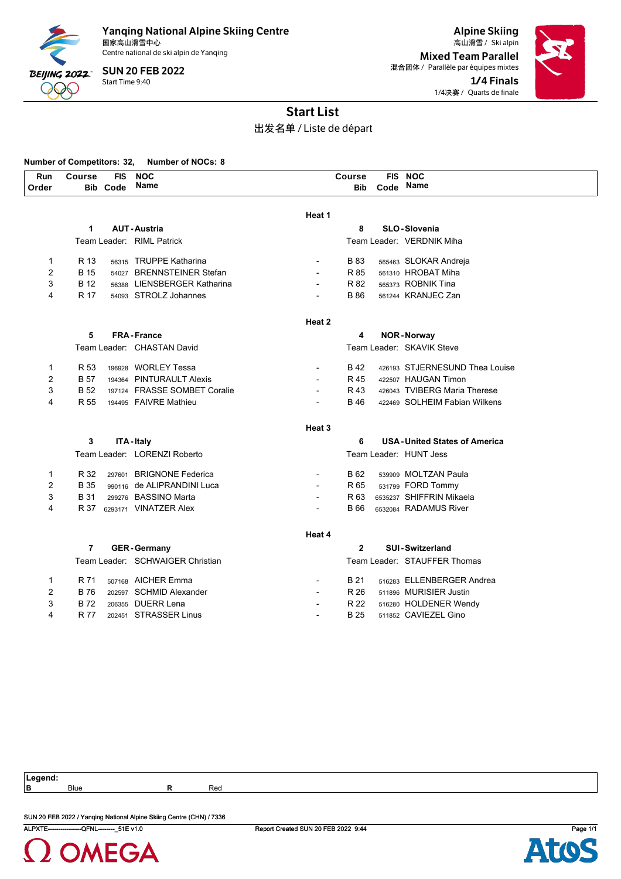

Centre national de ski alpin de Yanqing

Start Time 9:40 SUN 20 FEB 2022

Alpine Skiing 国家高山滑雪中心 Ski alpin 高山滑雪 / Mixed Team Parallel 混合团体 / Parallèle par équipes mixtes 1/4 Finals 1/4决赛 / Quarts de finale



## Start List

出发名单 / Liste de départ

### **Number of Competitors: 32, Number of NOCs: 8**

| Run            | <b>Course</b>  | <b>FIS</b>      | <b>NOC</b>                       |                          | Course         | <b>FIS</b> | <b>NOC</b>                          |
|----------------|----------------|-----------------|----------------------------------|--------------------------|----------------|------------|-------------------------------------|
| Order          |                | <b>Bib Code</b> | Name                             |                          | Bib            | Code Name  |                                     |
|                |                |                 |                                  |                          |                |            |                                     |
|                |                |                 |                                  | Heat 1                   |                |            |                                     |
|                | 1              |                 | <b>AUT-Austria</b>               |                          | 8              |            | <b>SLO-Slovenia</b>                 |
|                |                |                 | Team Leader: RIML Patrick        |                          |                |            | Team Leader: VERDNIK Miha           |
| $\mathbf 1$    | R 13           |                 | 56315 TRUPPE Katharina           |                          | <b>B83</b>     |            | 565463 SLOKAR Andreja               |
| $\overline{2}$ | <b>B</b> 15    |                 | 54027 BRENNSTEINER Stefan        |                          | R 85           |            | 561310 HROBAT Miha                  |
| 3              | B 12           |                 | 56388 LIENSBERGER Katharina      |                          | R 82           |            | 565373 ROBNIK Tina                  |
| 4              | R 17           |                 | 54093 STROLZ Johannes            |                          | <b>B</b> 86    |            | 561244 KRANJEC Zan                  |
|                |                |                 |                                  |                          |                |            |                                     |
|                |                |                 |                                  | Heat 2                   |                |            |                                     |
|                | 5              |                 | <b>FRA-France</b>                |                          | 4              |            | <b>NOR-Norway</b>                   |
|                |                |                 | Team Leader: CHASTAN David       |                          |                |            | Team Leader: SKAVIK Steve           |
| 1              | R 53           |                 | 196928 WORLEY Tessa              |                          | B 42           |            | 426193 STJERNESUND Thea Louise      |
| $\overline{2}$ | <b>B</b> 57    |                 | 194364 PINTURAULT Alexis         | $\overline{a}$           | R 45           |            | 422507 HAUGAN Timon                 |
| 3              | <b>B</b> 52    |                 | 197124 FRASSE SOMBET Coralie     |                          | R 43           |            | 426043 TVIBERG Maria Therese        |
| 4              | R 55           |                 | 194495 FAIVRE Mathieu            |                          | <b>B</b> 46    |            | 422469 SOLHEIM Fabian Wilkens       |
|                |                |                 |                                  | Heat 3                   |                |            |                                     |
|                | 3              |                 | ITA - Italy                      |                          | 6              |            | <b>USA-United States of America</b> |
|                |                |                 | Team Leader: LORENZI Roberto     |                          |                |            | Team Leader: HUNT Jess              |
|                |                |                 |                                  |                          |                |            |                                     |
| $\mathbf{1}$   | R 32           |                 | 297601 BRIGNONE Federica         |                          | B 62           |            | 539909 MOLTZAN Paula                |
| $\overline{2}$ | <b>B</b> 35    |                 | 990116 de ALIPRANDINI Luca       | $\overline{\phantom{a}}$ | R 65           |            | 531799 FORD Tommy                   |
| 3              | B 31           |                 | 299276 BASSINO Marta             | $\overline{a}$           | R 63           |            | 6535237 SHIFFRIN Mikaela            |
| 4              | R 37           |                 | 6293171 VINATZER Alex            |                          | <b>B</b> 66    |            | 6532084 RADAMUS River               |
|                |                |                 |                                  | Heat 4                   |                |            |                                     |
|                | $\overline{7}$ |                 | <b>GER-Germany</b>               |                          | $\overline{2}$ |            | <b>SUI-Switzerland</b>              |
|                |                |                 | Team Leader: SCHWAIGER Christian |                          |                |            | Team Leader: STAUFFER Thomas        |
| 1              | R 71           |                 | 507168 AICHER Emma               |                          | B 21           |            | 516283 ELLENBERGER Andrea           |
| $\overline{2}$ | <b>B76</b>     |                 | 202597 SCHMID Alexander          |                          | R 26           |            | 511896 MURISIER Justin              |
| 3              | <b>B72</b>     |                 | 206355 DUERR Lena                |                          | R 22           |            | 516280 HOLDENER Wendy               |
| 4              | R 77           |                 | 202451 STRASSER Linus            | $\overline{a}$           | <b>B25</b>     |            | 511852 CAVIEZEL Gino                |

**Legend:**

**B** Blue **R** Red

ALPXTE----------------QFNL--------\_51E v1.0 Report Created SUN 20 FEB 2022 9:44 Page 1/1 SUN 20 FEB 2022 / Yanqing National Alpine Skiing Centre (CHN) / 7336



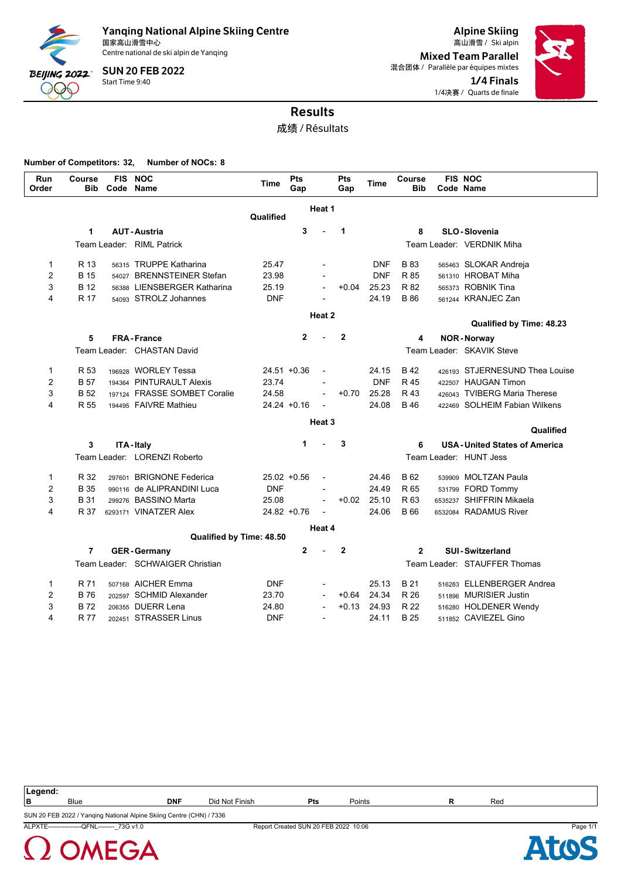

Centre national de ski alpin de Yanqing

Start Time 9:40 SUN 20 FEB 2022

Alpine Skiing Mixed Team Parallel 混合团体 / Parallèle par équipes mixtes 1/4 Finals 1/4决赛 / Quarts de finale



### Results

成绩 / Résultats

#### **Number of Competitors: 32, Number of NOCs: 8**

**OMEGA** 

| Run<br>Order   | Course<br><b>Bib</b> | <b>FIS</b><br>Code | <b>NOC</b><br><b>Name</b>        | <b>Time</b>    | Pts<br>Gap     |                          | Pts<br>Gap   | Time       | Course<br><b>Bib</b> | <b>FIS NOC</b><br>Code Name         |
|----------------|----------------------|--------------------|----------------------------------|----------------|----------------|--------------------------|--------------|------------|----------------------|-------------------------------------|
|                |                      |                    |                                  |                |                | Heat 1                   |              |            |                      |                                     |
|                |                      |                    |                                  | Qualified      |                |                          |              |            |                      |                                     |
|                | 1                    |                    | <b>AUT-Austria</b>               |                | 3              |                          | 1            |            | 8                    | <b>SLO-Slovenia</b>                 |
|                |                      |                    | Team Leader: RIML Patrick        |                |                |                          |              |            |                      | Team Leader: VERDNIK Miha           |
| 1              | R 13                 |                    | 56315 TRUPPE Katharina           | 25.47          |                |                          |              | <b>DNF</b> | B 83                 | 565463 SLOKAR Andreja               |
| $\overline{2}$ | <b>B</b> 15          |                    | 54027 BRENNSTEINER Stefan        | 23.98          |                |                          |              | <b>DNF</b> | R 85                 | 561310 HROBAT Miha                  |
| 3              | B 12                 |                    | 56388 LIENSBERGER Katharina      | 25.19          |                | $\overline{\phantom{a}}$ | $+0.04$      | 25.23      | R 82                 | 565373 ROBNIK Tina                  |
| 4              | R 17                 |                    | 54093 STROLZ Johannes            | <b>DNF</b>     |                |                          |              | 24.19      | B 86                 | 561244 KRANJEC Zan                  |
|                |                      |                    |                                  |                |                | Heat 2                   |              |            |                      | Qualified by Time: 48.23            |
|                | 5                    |                    | <b>FRA-France</b>                |                | $\mathbf{2}$   |                          | $\mathbf{2}$ |            | 4                    | <b>NOR-Norway</b>                   |
|                |                      |                    | Team Leader: CHASTAN David       |                |                |                          |              |            |                      | Team Leader: SKAVIK Steve           |
|                |                      |                    |                                  |                |                |                          |              |            |                      |                                     |
| $\mathbf{1}$   | R 53                 |                    | 196928 WORLEY Tessa              |                | $24.51 + 0.36$ | $\overline{a}$           |              | 24.15      | B 42                 | 426193 STJERNESUND Thea Louise      |
| $\overline{2}$ | B 57                 |                    | 194364 PINTURAULT Alexis         | 23.74          |                | $\blacksquare$           |              | <b>DNF</b> | R 45                 | 422507 HAUGAN Timon                 |
| 3              | B <sub>52</sub>      |                    | 197124 FRASSE SOMBET Coralie     | 24.58          |                | $\overline{a}$           | $+0.70$      | 25.28      | R 43                 | 426043 TVIBERG Maria Therese        |
| 4              | R 55                 |                    | 194495 FAIVRE Mathieu            | $24.24 + 0.16$ |                |                          |              | 24.08      | B 46                 | 422469 SOLHEIM Fabian Wilkens       |
|                |                      |                    |                                  |                |                | Heat 3                   |              |            |                      | Qualified                           |
|                | 3                    |                    | <b>ITA-Italy</b>                 |                | 1              |                          | 3            |            | 6                    | <b>USA-United States of America</b> |
|                |                      |                    | Team Leader: LORENZI Roberto     |                |                |                          |              |            |                      | Team Leader: HUNT Jess              |
| $\mathbf{1}$   | R 32                 |                    | 297601 BRIGNONE Federica         | $25.02 + 0.56$ |                | $\overline{\phantom{a}}$ |              | 24.46      | B 62                 | 539909 MOLTZAN Paula                |
| $\overline{2}$ | <b>B</b> 35          |                    | 990116 de ALIPRANDINI Luca       | <b>DNF</b>     |                |                          |              | 24.49      | R 65                 | 531799 FORD Tommy                   |
| 3              | B 31                 |                    | 299276 BASSINO Marta             | 25.08          |                | $\overline{a}$           | $+0.02$      | 25.10      | R 63                 | 6535237 SHIFFRIN Mikaela            |
| 4              | R 37                 |                    | 6293171 VINATZER Alex            | $24.82 + 0.76$ |                | $\overline{a}$           |              | 24.06      | B 66                 | 6532084 RADAMUS River               |
|                |                      |                    | Qualified by Time: 48.50         |                |                | Heat 4                   |              |            |                      |                                     |
|                | 7                    |                    | <b>GER-Germany</b>               |                | $\mathbf{2}$   |                          | $\mathbf{2}$ |            | $\mathbf{2}$         | <b>SUI-Switzerland</b>              |
|                |                      |                    | Team Leader: SCHWAIGER Christian |                |                |                          |              |            |                      | Team Leader: STAUFFER Thomas        |
|                |                      |                    |                                  |                |                |                          |              |            |                      |                                     |
| 1              | R 71                 |                    | 507168 AICHER Emma               | <b>DNF</b>     |                |                          |              | 25.13      | B 21                 | 516283 ELLENBERGER Andrea           |
| 2              | <b>B76</b>           |                    | 202597 SCHMID Alexander          | 23.70          |                | $\overline{a}$           | $+0.64$      | 24.34      | R 26                 | 511896 MURISIER Justin              |
| 3              | B 72                 |                    | 206355 DUERR Lena                | 24.80          |                |                          | $+0.13$      | 24.93      | R 22                 | 516280 HOLDENER Wendy               |
| 4              | R 77                 |                    | 202451 STRASSER Linus            | <b>DNF</b>     |                | $\overline{a}$           |              | 24.11      | B 25                 | 511852 CAVIEZEL Gino                |

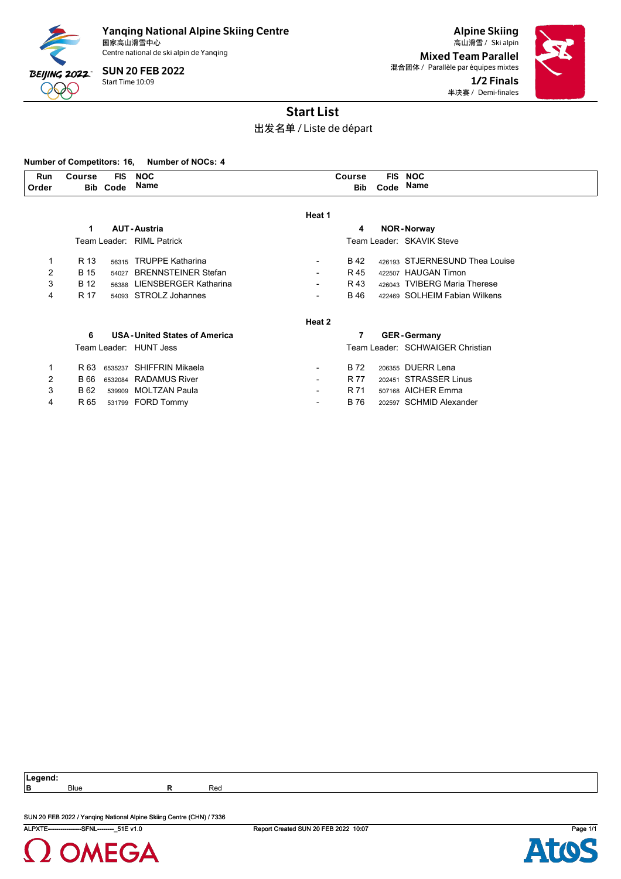

Centre national de ski alpin de Yanqing

Start Time 10:09 SUN 20 FEB 2022

Alpine Skiing 国家高山滑雪中心 Ski alpin 高山滑雪 / Mixed Team Parallel 混合团体 / Parallèle par équipes mixtes 1/2 Finals 半决赛 / Demi-finales



### Start List

### 出发名单 / Liste de départ

#### **Number of Competitors: 16, Number of NOCs: 4**

| Run<br>Order | Course | FIS.<br><b>Bib Code</b> | <b>NOC</b><br>Name        |        | Course | <b>FIS NOC</b><br>Bib Code Name |
|--------------|--------|-------------------------|---------------------------|--------|--------|---------------------------------|
|              |        |                         |                           | Heat 1 |        |                                 |
|              |        |                         | <b>AUT-Austria</b>        |        | 4      | <b>NOR-Norway</b>               |
|              |        |                         | Team Leader: RIML Patrick |        |        | Team Leader: SKAVIK Steve       |
|              | R 13   |                         | 56315 TRUPPE Katharina    | -      | B 42   | 426193 STJERNESUND Thea Louise  |
|              | B 15   |                         | 54027 BRENNSTEINER Stefan |        | R 45   | 422507 HAUGAN Timon             |

| 3 | B 12 | 56388 LIENSBERGER Katharina         | $\overline{\phantom{a}}$ | R 43 | 426043 TVIBERG Maria Therese     |
|---|------|-------------------------------------|--------------------------|------|----------------------------------|
| 4 | R 17 | 54093 STROLZ Johannes               | $\overline{\phantom{a}}$ | B 46 | 422469 SOLHEIM Fabian Wilkens    |
|   |      |                                     | Heat 2                   |      |                                  |
|   | 6    | <b>USA-United States of America</b> |                          |      | <b>GER-Germany</b>               |
|   |      | Team Leader: HUNT Jess              |                          |      | Team Leader: SCHWAIGER Christian |
|   | R 63 | 6535237 SHIFFRIN Mikaela            | $\overline{\phantom{a}}$ | B 72 | 206355 DUERR Lena                |
| 2 | B 66 | 6532084 RADAMUS River               | $\overline{\phantom{a}}$ | R 77 | 202451 STRASSER Linus            |

3 B 62 539909 MOLTZAN Paula **- R 71 507168 AICHER Emma** 4 R 65 531799 FORD Tommy - B 76 202597 SCHMID Alexander

**Legend:**

**B** Blue **R** Red

SUN 20 FEB 2022 / Yanqing National Alpine Skiing Centre (CHN) / 7336



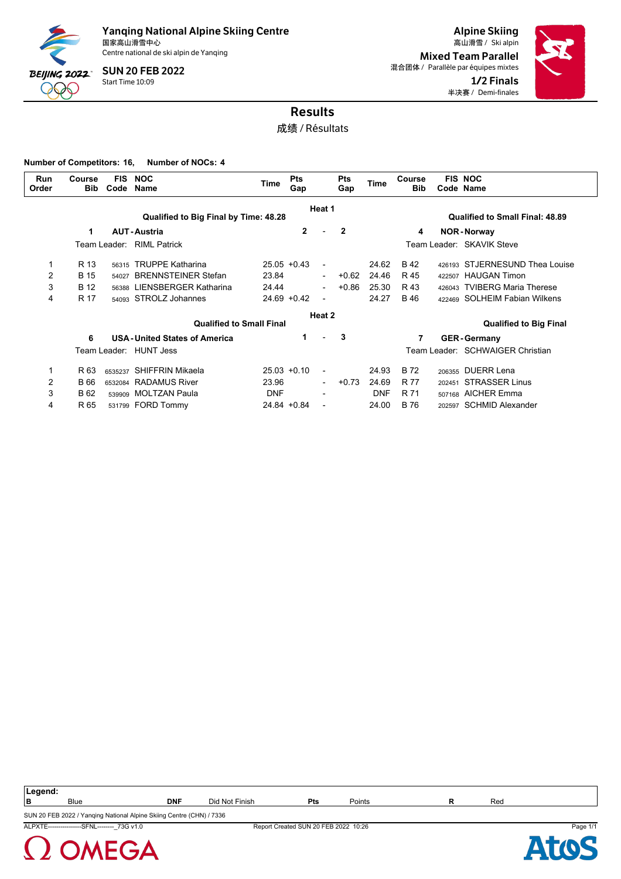

Centre national de ski alpin de Yanqing

Start Time 10:09 SUN 20 FEB 2022

Alpine Skiing Mixed Team Parallel 混合团体 / Parallèle par équipes mixtes 1/2 Finals 半决赛 / Demi-finales



### Results

成绩 / Résultats

**Number of Competitors: 16, Number of NOCs: 4**

| Course<br><b>Bib</b> | <b>FIS</b><br>Code | <b>NOC</b><br>Name         | Time                                                                                                                                                                                                                                           | <b>Pts</b><br>Gap |                                                                                                                                               | <b>Pts</b><br>Gap | Time             | Course<br><b>Bib</b> |        |                               |                                                                                                                                                                                                                                                                                                                                                                  |
|----------------------|--------------------|----------------------------|------------------------------------------------------------------------------------------------------------------------------------------------------------------------------------------------------------------------------------------------|-------------------|-----------------------------------------------------------------------------------------------------------------------------------------------|-------------------|------------------|----------------------|--------|-------------------------------|------------------------------------------------------------------------------------------------------------------------------------------------------------------------------------------------------------------------------------------------------------------------------------------------------------------------------------------------------------------|
|                      |                    |                            |                                                                                                                                                                                                                                                |                   |                                                                                                                                               |                   |                  |                      |        |                               |                                                                                                                                                                                                                                                                                                                                                                  |
| 1                    |                    |                            |                                                                                                                                                                                                                                                | $\overline{2}$    | $\overline{a}$                                                                                                                                | $\mathbf{2}$      |                  | 4                    |        |                               |                                                                                                                                                                                                                                                                                                                                                                  |
|                      |                    |                            |                                                                                                                                                                                                                                                |                   |                                                                                                                                               |                   |                  |                      |        |                               |                                                                                                                                                                                                                                                                                                                                                                  |
| R 13                 | 56315              | <b>TRUPPE Katharina</b>    |                                                                                                                                                                                                                                                |                   | $\blacksquare$                                                                                                                                |                   | 24.62            | <b>B</b> 42          |        |                               |                                                                                                                                                                                                                                                                                                                                                                  |
| <b>B</b> 15          | 54027              | <b>BRENNSTEINER Stefan</b> | 23.84                                                                                                                                                                                                                                          |                   | $\overline{\phantom{a}}$                                                                                                                      | $+0.62$           | 24.46            | R 45                 |        |                               |                                                                                                                                                                                                                                                                                                                                                                  |
| <b>B</b> 12          |                    |                            | 24.44                                                                                                                                                                                                                                          |                   | $\overline{\phantom{a}}$                                                                                                                      | $+0.86$           | 25.30            | R 43                 |        |                               |                                                                                                                                                                                                                                                                                                                                                                  |
| R 17                 |                    |                            |                                                                                                                                                                                                                                                |                   | $\blacksquare$                                                                                                                                |                   | 24.27            | <b>B</b> 46          |        |                               |                                                                                                                                                                                                                                                                                                                                                                  |
|                      |                    |                            |                                                                                                                                                                                                                                                |                   |                                                                                                                                               |                   |                  |                      |        |                               |                                                                                                                                                                                                                                                                                                                                                                  |
|                      |                    |                            |                                                                                                                                                                                                                                                |                   |                                                                                                                                               |                   |                  |                      |        | <b>Qualified to Big Final</b> |                                                                                                                                                                                                                                                                                                                                                                  |
| 6                    |                    |                            |                                                                                                                                                                                                                                                | 1                 | $\overline{a}$                                                                                                                                | 3                 |                  | 7                    |        |                               |                                                                                                                                                                                                                                                                                                                                                                  |
|                      |                    |                            |                                                                                                                                                                                                                                                |                   |                                                                                                                                               |                   |                  |                      |        |                               |                                                                                                                                                                                                                                                                                                                                                                  |
| R 63                 | 6535237            | <b>SHIFFRIN Mikaela</b>    |                                                                                                                                                                                                                                                |                   | $\overline{\phantom{a}}$                                                                                                                      |                   | 24.93            | <b>B</b> 72          |        |                               |                                                                                                                                                                                                                                                                                                                                                                  |
| <b>B</b> 66          |                    |                            | 23.96                                                                                                                                                                                                                                          |                   | $\overline{\phantom{a}}$                                                                                                                      | $+0.73$           | 24.69            | R 77                 | 202451 | <b>STRASSER Linus</b>         |                                                                                                                                                                                                                                                                                                                                                                  |
| B <sub>62</sub>      |                    |                            | <b>DNF</b>                                                                                                                                                                                                                                     |                   |                                                                                                                                               |                   | <b>DNF</b>       | R 71                 |        |                               |                                                                                                                                                                                                                                                                                                                                                                  |
| R 65                 |                    |                            |                                                                                                                                                                                                                                                |                   | $\blacksquare$                                                                                                                                |                   | 24.00            | B 76                 |        | <b>SCHMID Alexander</b>       |                                                                                                                                                                                                                                                                                                                                                                  |
|                      |                    |                            | <b>AUT-Austria</b><br>Team Leader: RIML Patrick<br>56388 LIENSBERGER Katharina<br>54093 STROLZ Johannes<br><b>USA-United States of America</b><br>Team Leader: HUNT Jess<br>6532084 RADAMUS River<br>539909 MOLTZAN Paula<br>531799 FORD Tommy |                   | Qualified to Big Final by Time: 48.28<br>$25.05 + 0.43$<br>$24.69 + 0.42$<br><b>Qualified to Small Final</b><br>$25.03 +0.10$<br>24.84 + 0.84 |                   | Heat 1<br>Heat 2 |                      |        |                               | <b>FIS NOC</b><br>Code Name<br><b>Qualified to Small Final: 48.89</b><br><b>NOR-Norway</b><br>Team Leader: SKAVIK Steve<br>426193 STJERNESUND Thea Louise<br>422507 HAUGAN Timon<br>426043 TVIBERG Maria Therese<br>422469 SOLHEIM Fabian Wilkens<br><b>GER-Germany</b><br>Team Leader: SCHWAIGER Christian<br>206355 DUERR Lena<br>507168 AICHER Emma<br>202597 |

| hnena |      |            |                |            |       |  |     |  |  |  |  |
|-------|------|------------|----------------|------------|-------|--|-----|--|--|--|--|
| B     | Blue | <b>DNF</b> | Did Not Finish | Dł.<br>ีเร | 'OINS |  | Rec |  |  |  |  |
|       |      |            |                |            |       |  |     |  |  |  |  |

ALPXTE----------------SFNL--------\_73G v1.0 Report Created SUN 20 FEB 2022 10:26 Page 1/1 SUN 20 FEB 2022 / Yanqing National Alpine Skiing Centre (CHN) / 7336



Atc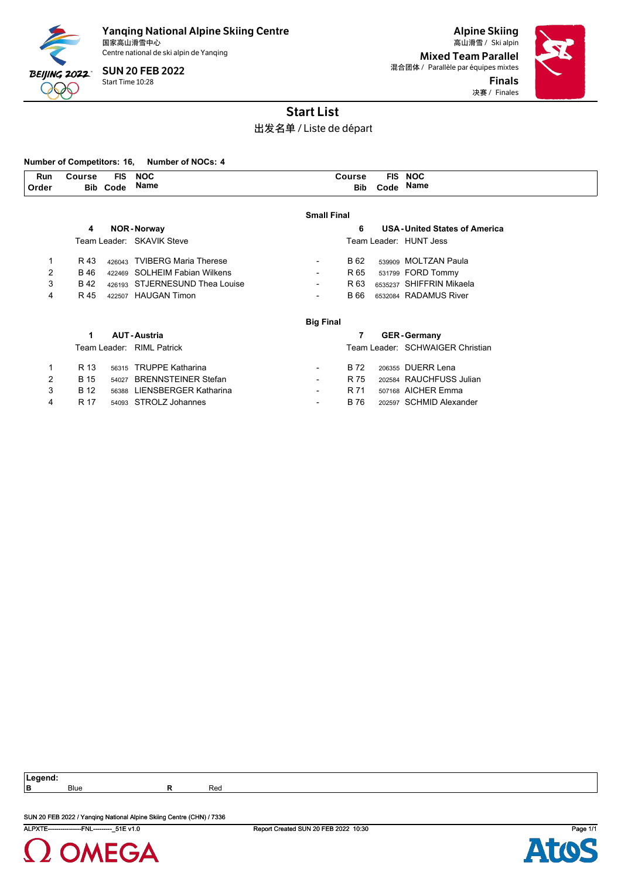

Centre national de ski alpin de Yanqing

Start Time 10:28 SUN 20 FEB 2022

Alpine Skiing 国家高山滑雪中心 Ski alpin 高山滑雪 / Mixed Team Parallel 混合团体 / Parallèle par équipes mixtes Finals 决赛 / Finales



## Start List

出发名单 / Liste de départ

#### **Number of Competitors: 16, Number of NOCs: 4**

| Run   | <b>Course</b> | <b>FIS</b> | <b>NOC</b> | Sourse | <b>FIS</b> | <b>NOC</b> |  |
|-------|---------------|------------|------------|--------|------------|------------|--|
|       |               |            |            |        |            |            |  |
| Order | <b>Bib</b>    | Code       | Name       | Bib    | Code       | Name       |  |
|       |               |            |            |        |            |            |  |

|   |             |       |                                | <b>Small Final</b> |      |                                     |
|---|-------------|-------|--------------------------------|--------------------|------|-------------------------------------|
|   | 4           |       | <b>NOR-Norway</b>              |                    | 6    | <b>USA-United States of America</b> |
|   |             |       | Team Leader: SKAVIK Steve      |                    |      | Team Leader: HUNT Jess              |
| 1 | R 43        |       | 426043 TVIBERG Maria Therese   |                    | B 62 | 539909 MOLTZAN Paula                |
| 2 | B 46        |       | 422469 SOLHEIM Fabian Wilkens  |                    | R 65 | 531799 FORD Tommy                   |
| 3 | B 42        |       | 426193 STJERNESUND Thea Louise |                    | R 63 | 6535237 SHIFFRIN Mikaela            |
| 4 | R 45        |       | 422507 HAUGAN Timon            |                    | B 66 | 6532084 RADAMUS River               |
|   |             |       |                                | <b>Big Final</b>   |      |                                     |
|   | 1           |       | <b>AUT-Austria</b>             |                    | 7    | <b>GER-Germany</b>                  |
|   |             |       | Team Leader: RIML Patrick      |                    |      | Team Leader: SCHWAIGER Christian    |
| 1 | R 13        | 56315 | <b>TRUPPE Katharina</b>        |                    | B 72 | 206355 DUERR Lena                   |
| 2 | <b>B</b> 15 | 54027 | <b>BRENNSTEINER Stefan</b>     |                    | R 75 | 202584 RAUCHFUSS Julian             |
| 3 | <b>B</b> 12 | 56388 | LIENSBERGER Katharina          |                    | R 71 | 507168 AICHER Emma                  |
| 4 | R 17        |       | 54093 STROLZ Johannes          |                    | B 76 | 202597 SCHMID Alexander             |

**Legend:**

**B** Blue **R** Red

SUN 20 FEB 2022 / Yanqing National Alpine Skiing Centre (CHN) / 7336



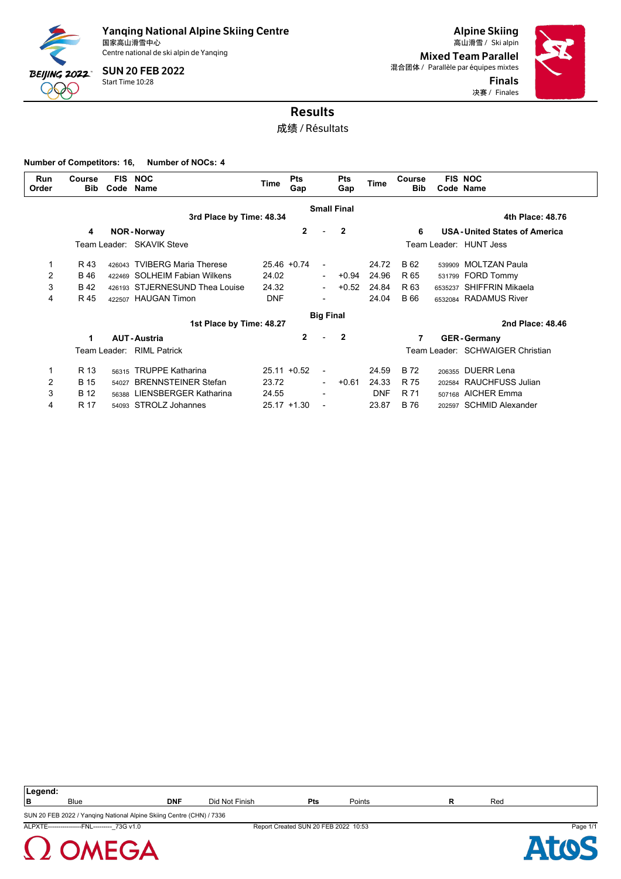

Centre national de ski alpin de Yanqing

Start Time 10:28 SUN 20 FEB 2022

Alpine Skiing Mixed Team Parallel 混合团体 / Parallèle par équipes mixtes Finals 决赛 / Finales



# Results

成绩 / Résultats

**Number of Competitors: 16, Number of NOCs: 4**

| <b>Run</b><br>Order | Course<br><b>Bib</b> | <b>FIS</b><br>Code | <b>NOC</b><br>Name             | Time       | <b>Pts</b><br>Gap |                          | <b>Pts</b><br>Gap       | <b>Time</b> | Course<br><b>Bib</b> |         | <b>FIS NOC</b><br>Code Name         |
|---------------------|----------------------|--------------------|--------------------------------|------------|-------------------|--------------------------|-------------------------|-------------|----------------------|---------|-------------------------------------|
|                     |                      |                    | 3rd Place by Time: 48.34       |            |                   |                          | <b>Small Final</b>      |             |                      |         | 4th Place: 48.76                    |
|                     | 4                    |                    | <b>NOR-Norway</b>              |            | $\overline{2}$    |                          | $\overline{\mathbf{2}}$ |             | 6                    |         | <b>USA-United States of America</b> |
|                     |                      |                    | Team Leader: SKAVIK Steve      |            |                   |                          |                         |             |                      |         | Team Leader: HUNT Jess              |
|                     | R 43                 | 426043             | <b>TVIBERG Maria Therese</b>   |            | $25.46 + 0.74$    | $\overline{\phantom{a}}$ |                         | 24.72       | B 62                 |         | 539909 MOLTZAN Paula                |
| 2                   | <b>B</b> 46          |                    | 422469 SOLHEIM Fabian Wilkens  | 24.02      |                   | $\overline{\phantom{0}}$ | $+0.94$                 | 24.96       | R 65                 |         | 531799 FORD Tommy                   |
| 3                   | <b>B42</b>           |                    | 426193 STJERNESUND Thea Louise | 24.32      |                   | $\blacksquare$           | $+0.52$                 | 24.84       | R 63                 | 6535237 | SHIFFRIN Mikaela                    |
| 4                   | R 45                 |                    | 422507 HAUGAN Timon            | <b>DNF</b> |                   |                          |                         | 24.04       | B 66                 |         | 6532084 RADAMUS River               |
|                     |                      |                    |                                |            |                   | <b>Big Final</b>         |                         |             |                      |         |                                     |
|                     |                      |                    | 1st Place by Time: 48.27       |            |                   |                          |                         |             |                      |         | 2nd Place: 48.46                    |
|                     | 1                    |                    | <b>AUT-Austria</b>             |            | $\overline{2}$    |                          | $\overline{\mathbf{2}}$ |             | 7                    |         | <b>GER-Germany</b>                  |
|                     |                      |                    | Team Leader: RIML Patrick      |            |                   |                          |                         |             |                      |         | Team Leader: SCHWAIGER Christian    |
|                     | R 13                 | 56315              | <b>TRUPPE Katharina</b>        |            | $25.11 + 0.52$    | $\blacksquare$           |                         | 24.59       | <b>B</b> 72          |         | 206355 DUERR Lena                   |
| $\overline{2}$      | <b>B</b> 15          | 54027              | <b>BRENNSTEINER Stefan</b>     | 23.72      |                   | $\overline{\phantom{0}}$ | $+0.61$                 | 24.33       | R 75                 |         | 202584 RAUCHFUSS Julian             |
| 3                   | <b>B</b> 12          | 56388              | <b>LIENSBERGER Katharina</b>   | 24.55      |                   |                          |                         | <b>DNF</b>  | R 71                 |         | 507168 AICHER Emma                  |
| 4                   | R 17                 |                    | 54093 STROLZ Johannes          |            | $25.17 + 1.30$    | $\blacksquare$           |                         | 23.87       | B 76                 | 202597  | <b>SCHMID Alexander</b>             |

| Legend:<br>$\sim$ $\sim$ $\sim$ $\sim$ $\sim$ |             |            |                |           |        |     |
|-----------------------------------------------|-------------|------------|----------------|-----------|--------|-----|
| l B                                           | <b>Blue</b> | <b>DNF</b> | Did Not Finish | ы.<br>-เร | Points | Red |
|                                               |             |            |                |           |        |     |

ALPXTE----------------FNL---------\_73G v1.0 Report Created SUN 20 FEB 2022 10:53 Page 1/1 SUN 20 FEB 2022 / Yanqing National Alpine Skiing Centre (CHN) / 7336



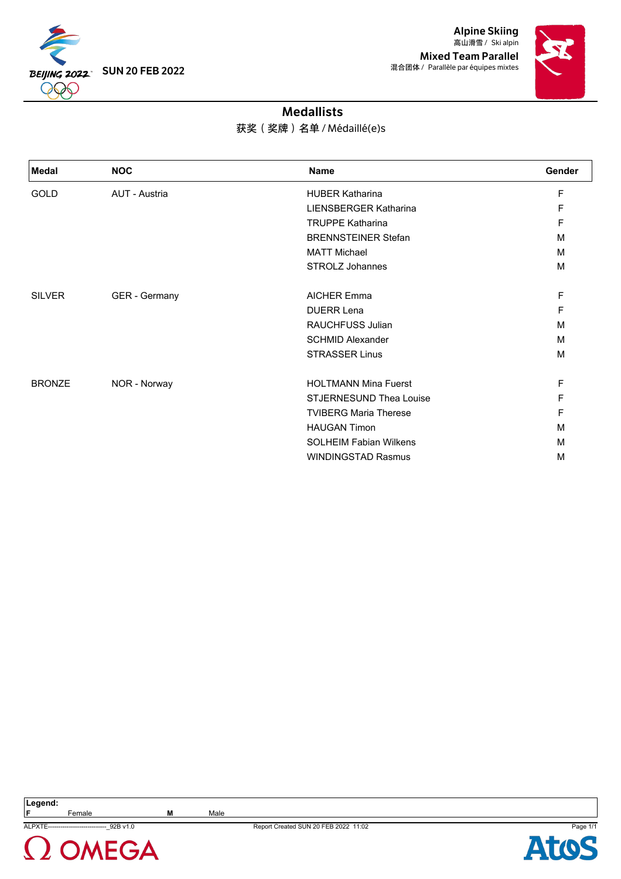

Alpine Skiing 高山滑雪 / Ski alpin Mixed Team Parallel 混合团体 / Parallèle par équipes mixtes



### Medallists

### 获奖(奖牌)名单 / Médaillé(e)s

| <b>Medal</b>  | <b>NOC</b>    | <b>Name</b>                   | <b>Gender</b> |
|---------------|---------------|-------------------------------|---------------|
| <b>GOLD</b>   | AUT - Austria | <b>HUBER Katharina</b>        | F             |
|               |               | LIENSBERGER Katharina         | F             |
|               |               | <b>TRUPPE Katharina</b>       | F             |
|               |               | <b>BRENNSTEINER Stefan</b>    | M             |
|               |               | <b>MATT Michael</b>           | M             |
|               |               | STROLZ Johannes               | M             |
| <b>SILVER</b> | GER - Germany | <b>AICHER Emma</b>            | F             |
|               |               | <b>DUERR Lena</b>             | F             |
|               |               | <b>RAUCHFUSS Julian</b>       | M             |
|               |               | <b>SCHMID Alexander</b>       | M             |
|               |               | <b>STRASSER Linus</b>         | M             |
| <b>BRONZE</b> | NOR - Norway  | <b>HOLTMANN Mina Fuerst</b>   | F             |
|               |               | STJERNESUND Thea Louise       | F             |
|               |               | <b>TVIBERG Maria Therese</b>  | F             |
|               |               | <b>HAUGAN Timon</b>           | M             |
|               |               | <b>SOLHEIM Fabian Wilkens</b> | м             |
|               |               | <b>WINDINGSTAD Rasmus</b>     | M             |

**F** Female **M** Male



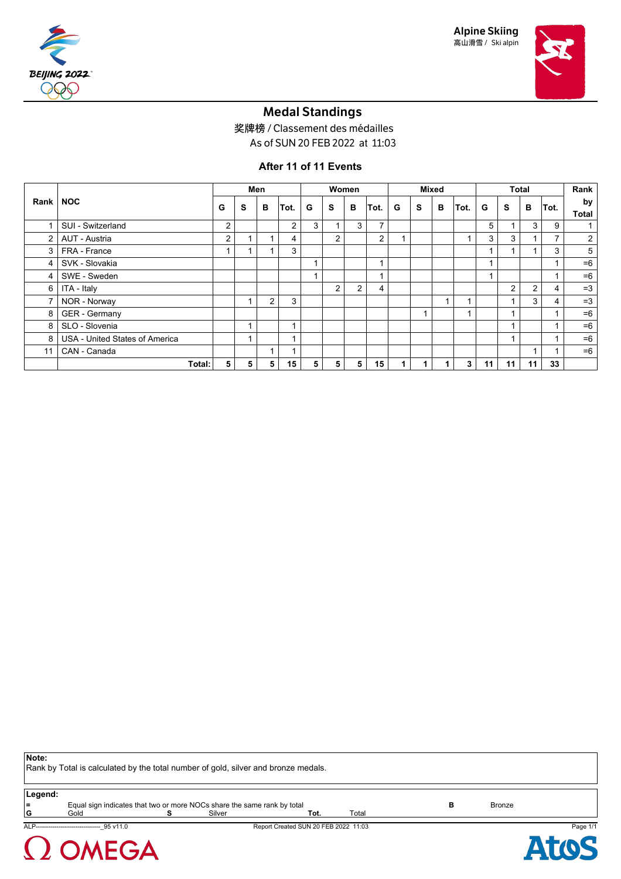

Alpine Skiing 高山滑雪 / Ski alpin



### Medal Standings

奖牌榜 / Classement des médailles

As of SUN 20 FEB 2022 at 11:03

### **After 11 of 11 Events**

|                |                                |   |   | Men            |      | Women |                |                |                         | <b>Mixed</b> |                          |                            |      | <b>Total</b> |                |                |      | Rank               |
|----------------|--------------------------------|---|---|----------------|------|-------|----------------|----------------|-------------------------|--------------|--------------------------|----------------------------|------|--------------|----------------|----------------|------|--------------------|
| Rank           | <b>NOC</b>                     | G | S | в              | Tot. | G     | s              | в              | Tot.                    | G            | S                        | в                          | Tot. | G            | s              | В              | Tot. | by<br><b>Total</b> |
|                | SUI - Switzerland              | 2 |   |                | 2    | 3     |                | 3              | 7                       |              |                          |                            |      | 5            |                | 3              | 9    |                    |
| $\overline{2}$ | AUT - Austria                  | 2 |   | 1              | 4    |       | $\overline{2}$ |                | $\overline{2}$          |              |                          |                            |      | 3            | 3              |                | 7    | $\overline{2}$     |
| 3              | FRA - France                   |   |   | 4              | 3    |       |                |                |                         |              |                          |                            |      |              |                |                | 3    | 5                  |
| 4              | SVK - Slovakia                 |   |   |                |      |       |                |                | $\overline{\mathbf{A}}$ |              |                          |                            |      |              |                |                |      | $=6$               |
| 4              | SWE - Sweden                   |   |   |                |      |       |                |                | ٠                       |              |                          |                            |      |              |                |                |      | $=6$               |
| 6              | ITA - Italy                    |   |   |                |      |       | $\overline{2}$ | $\overline{2}$ | 4                       |              |                          |                            |      |              | $\overline{2}$ | $\overline{2}$ | 4    | $=3$               |
| 7              | NOR - Norway                   |   |   | $\overline{2}$ | 3    |       |                |                |                         |              |                          | $\boldsymbol{\mathcal{A}}$ |      |              |                | 3              | 4    | $=3$               |
| 8              | GER - Germany                  |   |   |                |      |       |                |                |                         |              | $\overline{\phantom{a}}$ |                            |      |              |                |                |      | $=6$               |
| 8              | SLO - Slovenia                 |   |   |                |      |       |                |                |                         |              |                          |                            |      |              |                |                |      | $=6$               |
| 8              | USA - United States of America |   |   |                |      |       |                |                |                         |              |                          |                            |      |              |                |                |      | $=6$               |
| 11             | CAN - Canada                   |   |   | 1              |      |       |                |                |                         |              |                          |                            |      |              |                |                |      | $=6$               |
|                | Total:                         | 5 | 5 | 5              | 15   | 5     | 5              | 5              | 15                      |              |                          |                            | 3    | 11           | 11             | 11             | 33   |                    |

**Note:**

Rank by Total is calculated by the total number of gold, silver and bronze medals.

**Equal sign indicates that two or more NOCs share the same rank by total <b>B** Bronze<br> **Example 19** Bronze<br> **B** Bronze **G** Gold **S** Silver **Tot.** Total

 $\Omega$  OMEGA

ALP-------------------------------\_95 v11.0 Report Created SUN 20 FEB 2022 11:03 Page 1/1